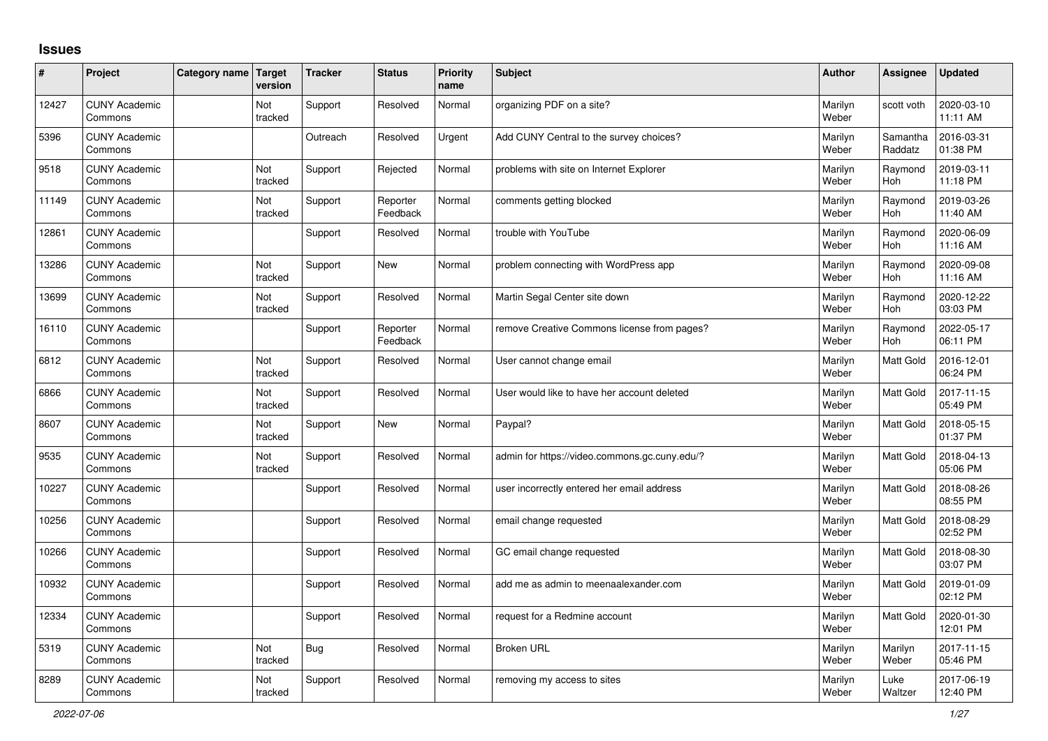## **Issues**

| ∦     | Project                         | Category name Target | version        | <b>Tracker</b> | <b>Status</b>        | <b>Priority</b><br>name | <b>Subject</b>                                | Author           | Assignee              | <b>Updated</b>         |
|-------|---------------------------------|----------------------|----------------|----------------|----------------------|-------------------------|-----------------------------------------------|------------------|-----------------------|------------------------|
| 12427 | <b>CUNY Academic</b><br>Commons |                      | Not<br>tracked | Support        | Resolved             | Normal                  | organizing PDF on a site?                     | Marilyn<br>Weber | scott voth            | 2020-03-10<br>11:11 AM |
| 5396  | <b>CUNY Academic</b><br>Commons |                      |                | Outreach       | Resolved             | Urgent                  | Add CUNY Central to the survey choices?       | Marilyn<br>Weber | Samantha<br>Raddatz   | 2016-03-31<br>01:38 PM |
| 9518  | <b>CUNY Academic</b><br>Commons |                      | Not<br>tracked | Support        | Rejected             | Normal                  | problems with site on Internet Explorer       | Marilyn<br>Weber | Raymond<br>Hoh        | 2019-03-11<br>11:18 PM |
| 11149 | <b>CUNY Academic</b><br>Commons |                      | Not<br>tracked | Support        | Reporter<br>Feedback | Normal                  | comments getting blocked                      | Marilyn<br>Weber | Raymond<br>Hoh        | 2019-03-26<br>11:40 AM |
| 12861 | <b>CUNY Academic</b><br>Commons |                      |                | Support        | Resolved             | Normal                  | trouble with YouTube                          | Marilyn<br>Weber | Raymond<br><b>Hoh</b> | 2020-06-09<br>11:16 AM |
| 13286 | <b>CUNY Academic</b><br>Commons |                      | Not<br>tracked | Support        | <b>New</b>           | Normal                  | problem connecting with WordPress app         | Marilyn<br>Weber | Raymond<br>Hoh        | 2020-09-08<br>11:16 AM |
| 13699 | <b>CUNY Academic</b><br>Commons |                      | Not<br>tracked | Support        | Resolved             | Normal                  | Martin Segal Center site down                 | Marilyn<br>Weber | Raymond<br><b>Hoh</b> | 2020-12-22<br>03:03 PM |
| 16110 | <b>CUNY Academic</b><br>Commons |                      |                | Support        | Reporter<br>Feedback | Normal                  | remove Creative Commons license from pages?   | Marilyn<br>Weber | Raymond<br><b>Hoh</b> | 2022-05-17<br>06:11 PM |
| 6812  | <b>CUNY Academic</b><br>Commons |                      | Not<br>tracked | Support        | Resolved             | Normal                  | User cannot change email                      | Marilyn<br>Weber | <b>Matt Gold</b>      | 2016-12-01<br>06:24 PM |
| 6866  | <b>CUNY Academic</b><br>Commons |                      | Not<br>tracked | Support        | Resolved             | Normal                  | User would like to have her account deleted   | Marilyn<br>Weber | <b>Matt Gold</b>      | 2017-11-15<br>05:49 PM |
| 8607  | <b>CUNY Academic</b><br>Commons |                      | Not<br>tracked | Support        | <b>New</b>           | Normal                  | Paypal?                                       | Marilyn<br>Weber | <b>Matt Gold</b>      | 2018-05-15<br>01:37 PM |
| 9535  | <b>CUNY Academic</b><br>Commons |                      | Not<br>tracked | Support        | Resolved             | Normal                  | admin for https://video.commons.gc.cuny.edu/? | Marilyn<br>Weber | Matt Gold             | 2018-04-13<br>05:06 PM |
| 10227 | <b>CUNY Academic</b><br>Commons |                      |                | Support        | Resolved             | Normal                  | user incorrectly entered her email address    | Marilyn<br>Weber | <b>Matt Gold</b>      | 2018-08-26<br>08:55 PM |
| 10256 | <b>CUNY Academic</b><br>Commons |                      |                | Support        | Resolved             | Normal                  | email change requested                        | Marilyn<br>Weber | <b>Matt Gold</b>      | 2018-08-29<br>02:52 PM |
| 10266 | <b>CUNY Academic</b><br>Commons |                      |                | Support        | Resolved             | Normal                  | GC email change requested                     | Marilyn<br>Weber | Matt Gold             | 2018-08-30<br>03:07 PM |
| 10932 | <b>CUNY Academic</b><br>Commons |                      |                | Support        | Resolved             | Normal                  | add me as admin to meenaalexander.com         | Marilyn<br>Weber | Matt Gold             | 2019-01-09<br>02:12 PM |
| 12334 | <b>CUNY Academic</b><br>Commons |                      |                | Support        | Resolved             | Normal                  | request for a Redmine account                 | Marilyn<br>Weber | <b>Matt Gold</b>      | 2020-01-30<br>12:01 PM |
| 5319  | <b>CUNY Academic</b><br>Commons |                      | Not<br>tracked | <b>Bug</b>     | Resolved             | Normal                  | <b>Broken URL</b>                             | Marilyn<br>Weber | Marilyn<br>Weber      | 2017-11-15<br>05:46 PM |
| 8289  | <b>CUNY Academic</b><br>Commons |                      | Not<br>tracked | Support        | Resolved             | Normal                  | removing my access to sites                   | Marilyn<br>Weber | Luke<br>Waltzer       | 2017-06-19<br>12:40 PM |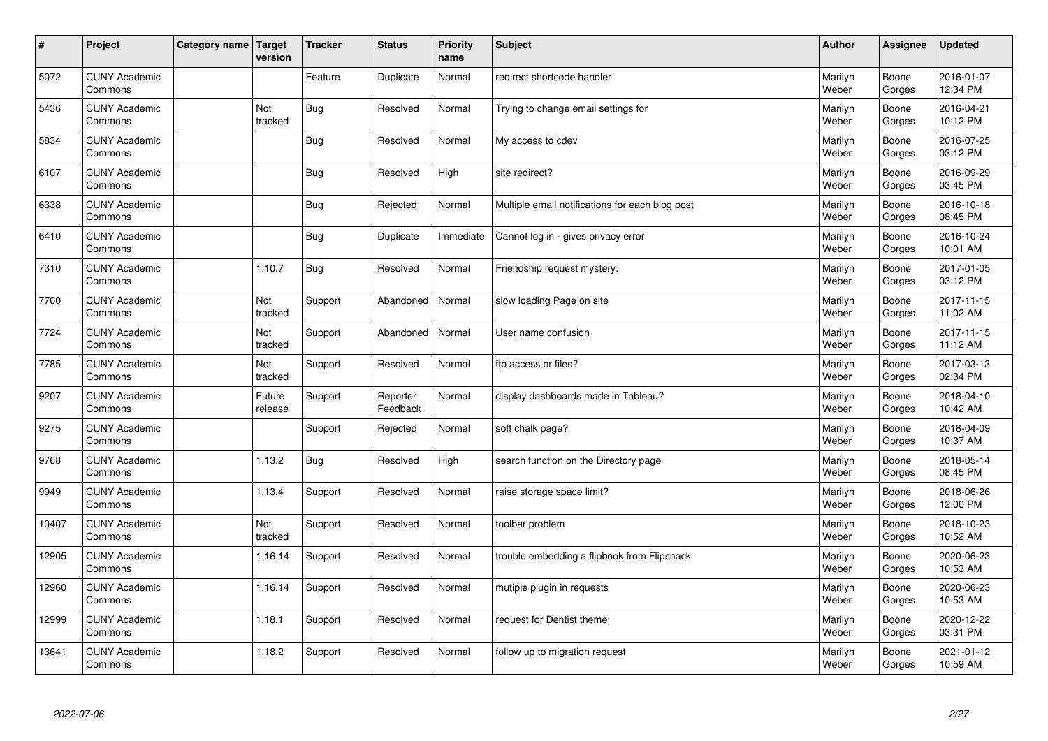| $\vert$ # | Project                         | Category name   Target | version           | <b>Tracker</b> | <b>Status</b>        | <b>Priority</b><br>name | <b>Subject</b>                                  | <b>Author</b>    | Assignee        | <b>Updated</b>         |
|-----------|---------------------------------|------------------------|-------------------|----------------|----------------------|-------------------------|-------------------------------------------------|------------------|-----------------|------------------------|
| 5072      | <b>CUNY Academic</b><br>Commons |                        |                   | Feature        | Duplicate            | Normal                  | redirect shortcode handler                      | Marilyn<br>Weber | Boone<br>Gorges | 2016-01-07<br>12:34 PM |
| 5436      | <b>CUNY Academic</b><br>Commons |                        | Not<br>tracked    | <b>Bug</b>     | Resolved             | Normal                  | Trying to change email settings for             | Marilyn<br>Weber | Boone<br>Gorges | 2016-04-21<br>10:12 PM |
| 5834      | <b>CUNY Academic</b><br>Commons |                        |                   | Bug            | Resolved             | Normal                  | My access to cdev                               | Marilyn<br>Weber | Boone<br>Gorges | 2016-07-25<br>03:12 PM |
| 6107      | <b>CUNY Academic</b><br>Commons |                        |                   | <b>Bug</b>     | Resolved             | High                    | site redirect?                                  | Marilyn<br>Weber | Boone<br>Gorges | 2016-09-29<br>03:45 PM |
| 6338      | <b>CUNY Academic</b><br>Commons |                        |                   | <b>Bug</b>     | Rejected             | Normal                  | Multiple email notifications for each blog post | Marilyn<br>Weber | Boone<br>Gorges | 2016-10-18<br>08:45 PM |
| 6410      | <b>CUNY Academic</b><br>Commons |                        |                   | <b>Bug</b>     | Duplicate            | Immediate               | Cannot log in - gives privacy error             | Marilyn<br>Weber | Boone<br>Gorges | 2016-10-24<br>10:01 AM |
| 7310      | <b>CUNY Academic</b><br>Commons |                        | 1.10.7            | Bug            | Resolved             | Normal                  | Friendship request mystery.                     | Marilyn<br>Weber | Boone<br>Gorges | 2017-01-05<br>03:12 PM |
| 7700      | <b>CUNY Academic</b><br>Commons |                        | Not<br>tracked    | Support        | Abandoned            | Normal                  | slow loading Page on site                       | Marilyn<br>Weber | Boone<br>Gorges | 2017-11-15<br>11:02 AM |
| 7724      | <b>CUNY Academic</b><br>Commons |                        | Not<br>tracked    | Support        | Abandoned            | Normal                  | User name confusion                             | Marilyn<br>Weber | Boone<br>Gorges | 2017-11-15<br>11:12 AM |
| 7785      | <b>CUNY Academic</b><br>Commons |                        | Not<br>tracked    | Support        | Resolved             | Normal                  | ftp access or files?                            | Marilyn<br>Weber | Boone<br>Gorges | 2017-03-13<br>02:34 PM |
| 9207      | <b>CUNY Academic</b><br>Commons |                        | Future<br>release | Support        | Reporter<br>Feedback | Normal                  | display dashboards made in Tableau?             | Marilyn<br>Weber | Boone<br>Gorges | 2018-04-10<br>10:42 AM |
| 9275      | <b>CUNY Academic</b><br>Commons |                        |                   | Support        | Rejected             | Normal                  | soft chalk page?                                | Marilyn<br>Weber | Boone<br>Gorges | 2018-04-09<br>10:37 AM |
| 9768      | <b>CUNY Academic</b><br>Commons |                        | 1.13.2            | <b>Bug</b>     | Resolved             | High                    | search function on the Directory page           | Marilyn<br>Weber | Boone<br>Gorges | 2018-05-14<br>08:45 PM |
| 9949      | <b>CUNY Academic</b><br>Commons |                        | 1.13.4            | Support        | Resolved             | Normal                  | raise storage space limit?                      | Marilyn<br>Weber | Boone<br>Gorges | 2018-06-26<br>12:00 PM |
| 10407     | <b>CUNY Academic</b><br>Commons |                        | Not<br>tracked    | Support        | Resolved             | Normal                  | toolbar problem                                 | Marilyn<br>Weber | Boone<br>Gorges | 2018-10-23<br>10:52 AM |
| 12905     | <b>CUNY Academic</b><br>Commons |                        | 1.16.14           | Support        | Resolved             | Normal                  | trouble embedding a flipbook from Flipsnack     | Marilyn<br>Weber | Boone<br>Gorges | 2020-06-23<br>10:53 AM |
| 12960     | <b>CUNY Academic</b><br>Commons |                        | 1.16.14           | Support        | Resolved             | Normal                  | mutiple plugin in requests                      | Marilyn<br>Weber | Boone<br>Gorges | 2020-06-23<br>10:53 AM |
| 12999     | <b>CUNY Academic</b><br>Commons |                        | 1.18.1            | Support        | Resolved             | Normal                  | request for Dentist theme                       | Marilyn<br>Weber | Boone<br>Gorges | 2020-12-22<br>03:31 PM |
| 13641     | <b>CUNY Academic</b><br>Commons |                        | 1.18.2            | Support        | Resolved             | Normal                  | follow up to migration request                  | Marilyn<br>Weber | Boone<br>Gorges | 2021-01-12<br>10:59 AM |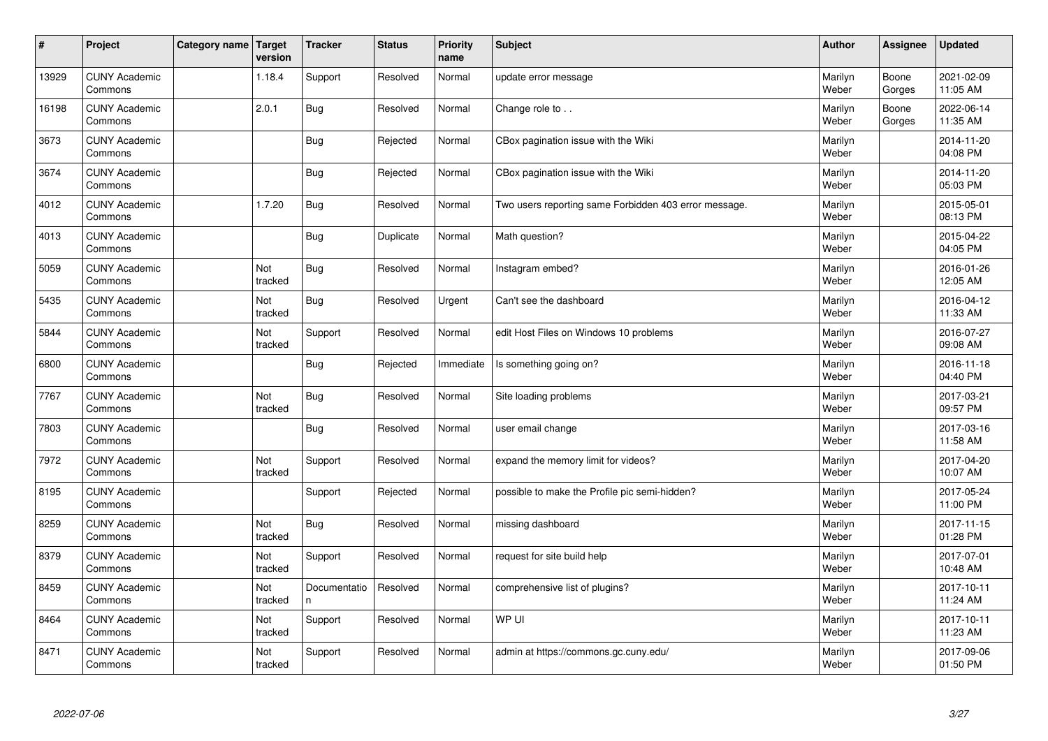| $\vert$ # | Project                         | Category name   Target | version        | <b>Tracker</b>     | <b>Status</b> | <b>Priority</b><br>name | <b>Subject</b>                                        | <b>Author</b>    | <b>Assignee</b> | <b>Updated</b>         |
|-----------|---------------------------------|------------------------|----------------|--------------------|---------------|-------------------------|-------------------------------------------------------|------------------|-----------------|------------------------|
| 13929     | <b>CUNY Academic</b><br>Commons |                        | 1.18.4         | Support            | Resolved      | Normal                  | update error message                                  | Marilyn<br>Weber | Boone<br>Gorges | 2021-02-09<br>11:05 AM |
| 16198     | <b>CUNY Academic</b><br>Commons |                        | 2.0.1          | <b>Bug</b>         | Resolved      | Normal                  | Change role to                                        | Marilyn<br>Weber | Boone<br>Gorges | 2022-06-14<br>11:35 AM |
| 3673      | <b>CUNY Academic</b><br>Commons |                        |                | <b>Bug</b>         | Rejected      | Normal                  | CBox pagination issue with the Wiki                   | Marilyn<br>Weber |                 | 2014-11-20<br>04:08 PM |
| 3674      | <b>CUNY Academic</b><br>Commons |                        |                | <b>Bug</b>         | Rejected      | Normal                  | CBox pagination issue with the Wiki                   | Marilyn<br>Weber |                 | 2014-11-20<br>05:03 PM |
| 4012      | <b>CUNY Academic</b><br>Commons |                        | 1.7.20         | Bug                | Resolved      | Normal                  | Two users reporting same Forbidden 403 error message. | Marilyn<br>Weber |                 | 2015-05-01<br>08:13 PM |
| 4013      | <b>CUNY Academic</b><br>Commons |                        |                | <b>Bug</b>         | Duplicate     | Normal                  | Math question?                                        | Marilyn<br>Weber |                 | 2015-04-22<br>04:05 PM |
| 5059      | <b>CUNY Academic</b><br>Commons |                        | Not<br>tracked | <b>Bug</b>         | Resolved      | Normal                  | Instagram embed?                                      | Marilyn<br>Weber |                 | 2016-01-26<br>12:05 AM |
| 5435      | <b>CUNY Academic</b><br>Commons |                        | Not<br>tracked | <b>Bug</b>         | Resolved      | Urgent                  | Can't see the dashboard                               | Marilyn<br>Weber |                 | 2016-04-12<br>11:33 AM |
| 5844      | <b>CUNY Academic</b><br>Commons |                        | Not<br>tracked | Support            | Resolved      | Normal                  | edit Host Files on Windows 10 problems                | Marilyn<br>Weber |                 | 2016-07-27<br>09:08 AM |
| 6800      | <b>CUNY Academic</b><br>Commons |                        |                | <b>Bug</b>         | Rejected      | Immediate               | Is something going on?                                | Marilyn<br>Weber |                 | 2016-11-18<br>04:40 PM |
| 7767      | <b>CUNY Academic</b><br>Commons |                        | Not<br>tracked | Bug                | Resolved      | Normal                  | Site loading problems                                 | Marilyn<br>Weber |                 | 2017-03-21<br>09:57 PM |
| 7803      | <b>CUNY Academic</b><br>Commons |                        |                | Bug                | Resolved      | Normal                  | user email change                                     | Marilyn<br>Weber |                 | 2017-03-16<br>11:58 AM |
| 7972      | <b>CUNY Academic</b><br>Commons |                        | Not<br>tracked | Support            | Resolved      | Normal                  | expand the memory limit for videos?                   | Marilyn<br>Weber |                 | 2017-04-20<br>10:07 AM |
| 8195      | <b>CUNY Academic</b><br>Commons |                        |                | Support            | Rejected      | Normal                  | possible to make the Profile pic semi-hidden?         | Marilyn<br>Weber |                 | 2017-05-24<br>11:00 PM |
| 8259      | <b>CUNY Academic</b><br>Commons |                        | Not<br>tracked | <b>Bug</b>         | Resolved      | Normal                  | missing dashboard                                     | Marilyn<br>Weber |                 | 2017-11-15<br>01:28 PM |
| 8379      | <b>CUNY Academic</b><br>Commons |                        | Not<br>tracked | Support            | Resolved      | Normal                  | request for site build help                           | Marilyn<br>Weber |                 | 2017-07-01<br>10:48 AM |
| 8459      | <b>CUNY Academic</b><br>Commons |                        | Not<br>tracked | Documentatio<br>n. | Resolved      | Normal                  | comprehensive list of plugins?                        | Marilyn<br>Weber |                 | 2017-10-11<br>11:24 AM |
| 8464      | <b>CUNY Academic</b><br>Commons |                        | Not<br>tracked | Support            | Resolved      | Normal                  | WP UI                                                 | Marilyn<br>Weber |                 | 2017-10-11<br>11:23 AM |
| 8471      | <b>CUNY Academic</b><br>Commons |                        | Not<br>tracked | Support            | Resolved      | Normal                  | admin at https://commons.gc.cuny.edu/                 | Marilyn<br>Weber |                 | 2017-09-06<br>01:50 PM |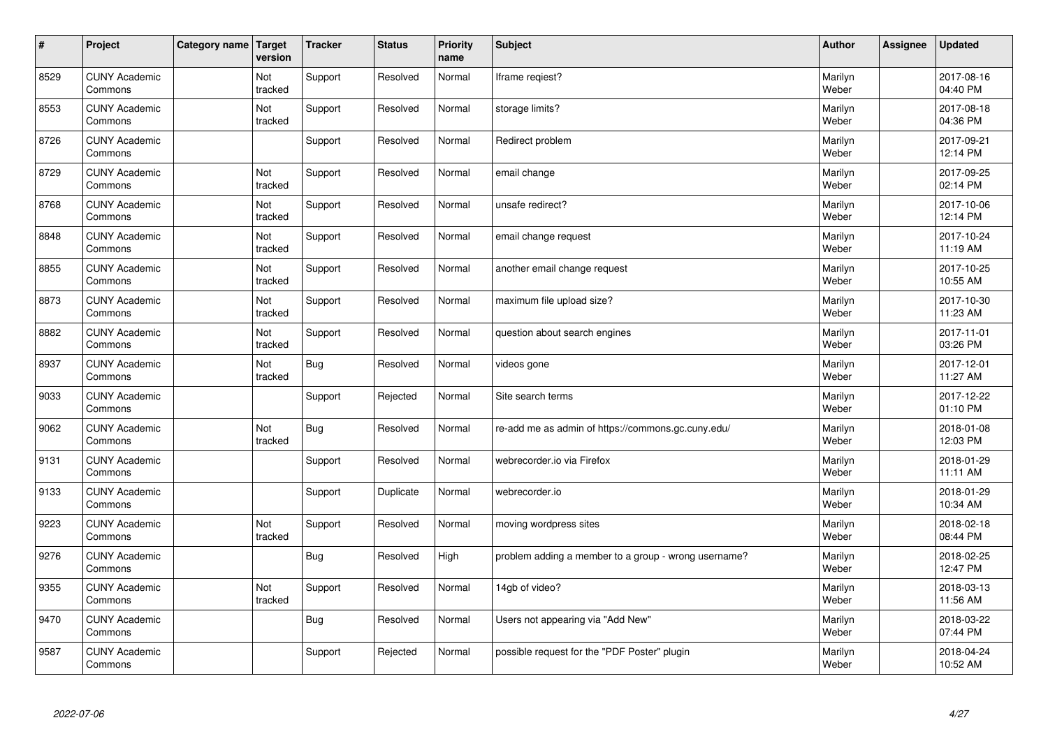| $\vert$ # | Project                         | Category name   Target | version        | <b>Tracker</b> | <b>Status</b> | <b>Priority</b><br>name | <b>Subject</b>                                       | <b>Author</b>    | Assignee | <b>Updated</b>         |
|-----------|---------------------------------|------------------------|----------------|----------------|---------------|-------------------------|------------------------------------------------------|------------------|----------|------------------------|
| 8529      | <b>CUNY Academic</b><br>Commons |                        | Not<br>tracked | Support        | Resolved      | Normal                  | Iframe regiest?                                      | Marilyn<br>Weber |          | 2017-08-16<br>04:40 PM |
| 8553      | <b>CUNY Academic</b><br>Commons |                        | Not<br>tracked | Support        | Resolved      | Normal                  | storage limits?                                      | Marilyn<br>Weber |          | 2017-08-18<br>04:36 PM |
| 8726      | <b>CUNY Academic</b><br>Commons |                        |                | Support        | Resolved      | Normal                  | Redirect problem                                     | Marilyn<br>Weber |          | 2017-09-21<br>12:14 PM |
| 8729      | <b>CUNY Academic</b><br>Commons |                        | Not<br>tracked | Support        | Resolved      | Normal                  | email change                                         | Marilyn<br>Weber |          | 2017-09-25<br>02:14 PM |
| 8768      | <b>CUNY Academic</b><br>Commons |                        | Not<br>tracked | Support        | Resolved      | Normal                  | unsafe redirect?                                     | Marilyn<br>Weber |          | 2017-10-06<br>12:14 PM |
| 8848      | <b>CUNY Academic</b><br>Commons |                        | Not<br>tracked | Support        | Resolved      | Normal                  | email change request                                 | Marilyn<br>Weber |          | 2017-10-24<br>11:19 AM |
| 8855      | <b>CUNY Academic</b><br>Commons |                        | Not<br>tracked | Support        | Resolved      | Normal                  | another email change request                         | Marilyn<br>Weber |          | 2017-10-25<br>10:55 AM |
| 8873      | <b>CUNY Academic</b><br>Commons |                        | Not<br>tracked | Support        | Resolved      | Normal                  | maximum file upload size?                            | Marilyn<br>Weber |          | 2017-10-30<br>11:23 AM |
| 8882      | <b>CUNY Academic</b><br>Commons |                        | Not<br>tracked | Support        | Resolved      | Normal                  | question about search engines                        | Marilyn<br>Weber |          | 2017-11-01<br>03:26 PM |
| 8937      | <b>CUNY Academic</b><br>Commons |                        | Not<br>tracked | Bug            | Resolved      | Normal                  | videos gone                                          | Marilyn<br>Weber |          | 2017-12-01<br>11:27 AM |
| 9033      | <b>CUNY Academic</b><br>Commons |                        |                | Support        | Rejected      | Normal                  | Site search terms                                    | Marilyn<br>Weber |          | 2017-12-22<br>01:10 PM |
| 9062      | <b>CUNY Academic</b><br>Commons |                        | Not<br>tracked | <b>Bug</b>     | Resolved      | Normal                  | re-add me as admin of https://commons.gc.cuny.edu/   | Marilyn<br>Weber |          | 2018-01-08<br>12:03 PM |
| 9131      | <b>CUNY Academic</b><br>Commons |                        |                | Support        | Resolved      | Normal                  | webrecorder.io via Firefox                           | Marilyn<br>Weber |          | 2018-01-29<br>11:11 AM |
| 9133      | <b>CUNY Academic</b><br>Commons |                        |                | Support        | Duplicate     | Normal                  | webrecorder.io                                       | Marilyn<br>Weber |          | 2018-01-29<br>10:34 AM |
| 9223      | <b>CUNY Academic</b><br>Commons |                        | Not<br>tracked | Support        | Resolved      | Normal                  | moving wordpress sites                               | Marilyn<br>Weber |          | 2018-02-18<br>08:44 PM |
| 9276      | <b>CUNY Academic</b><br>Commons |                        |                | Bug            | Resolved      | High                    | problem adding a member to a group - wrong username? | Marilyn<br>Weber |          | 2018-02-25<br>12:47 PM |
| 9355      | <b>CUNY Academic</b><br>Commons |                        | Not<br>tracked | Support        | Resolved      | Normal                  | 14gb of video?                                       | Marilyn<br>Weber |          | 2018-03-13<br>11:56 AM |
| 9470      | <b>CUNY Academic</b><br>Commons |                        |                | <b>Bug</b>     | Resolved      | Normal                  | Users not appearing via "Add New"                    | Marilyn<br>Weber |          | 2018-03-22<br>07:44 PM |
| 9587      | <b>CUNY Academic</b><br>Commons |                        |                | Support        | Rejected      | Normal                  | possible request for the "PDF Poster" plugin         | Marilyn<br>Weber |          | 2018-04-24<br>10:52 AM |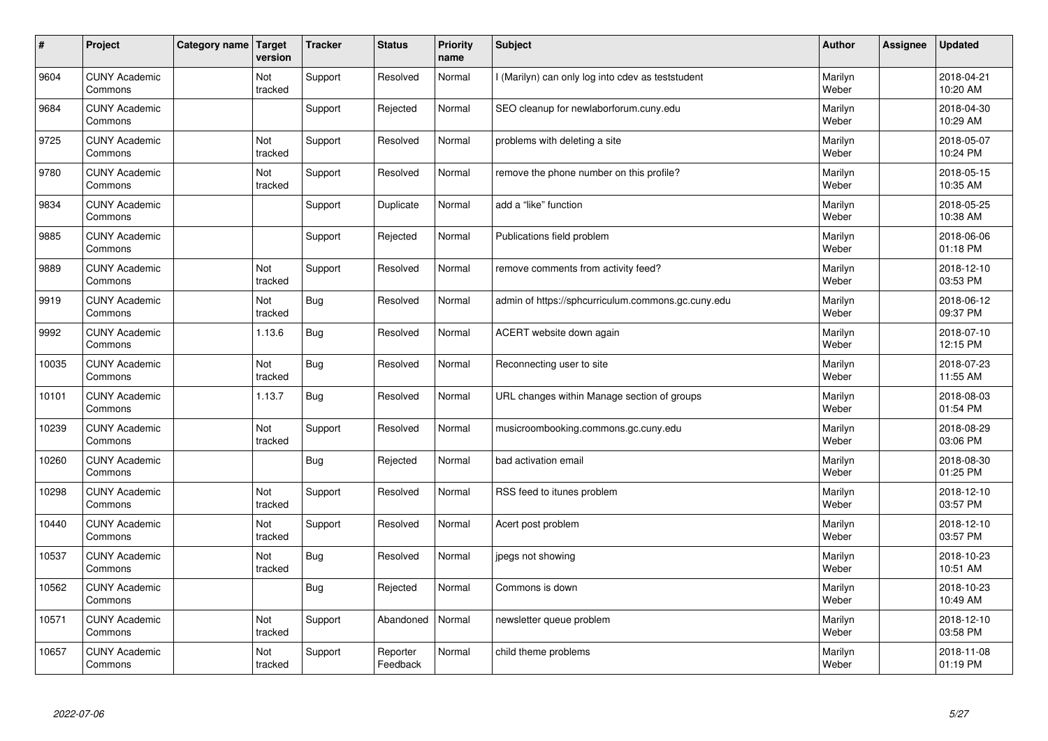| $\sharp$ | Project                         | Category name | Target<br>version | <b>Tracker</b> | <b>Status</b>        | <b>Priority</b><br>name | <b>Subject</b>                                     | <b>Author</b>    | Assignee | <b>Updated</b>         |
|----------|---------------------------------|---------------|-------------------|----------------|----------------------|-------------------------|----------------------------------------------------|------------------|----------|------------------------|
| 9604     | <b>CUNY Academic</b><br>Commons |               | Not<br>tracked    | Support        | Resolved             | Normal                  | I (Marilyn) can only log into cdev as teststudent  | Marilyn<br>Weber |          | 2018-04-21<br>10:20 AM |
| 9684     | <b>CUNY Academic</b><br>Commons |               |                   | Support        | Rejected             | Normal                  | SEO cleanup for newlaborforum.cuny.edu             | Marilyn<br>Weber |          | 2018-04-30<br>10:29 AM |
| 9725     | <b>CUNY Academic</b><br>Commons |               | Not<br>tracked    | Support        | Resolved             | Normal                  | problems with deleting a site                      | Marilyn<br>Weber |          | 2018-05-07<br>10:24 PM |
| 9780     | <b>CUNY Academic</b><br>Commons |               | Not<br>tracked    | Support        | Resolved             | Normal                  | remove the phone number on this profile?           | Marilyn<br>Weber |          | 2018-05-15<br>10:35 AM |
| 9834     | <b>CUNY Academic</b><br>Commons |               |                   | Support        | Duplicate            | Normal                  | add a "like" function                              | Marilyn<br>Weber |          | 2018-05-25<br>10:38 AM |
| 9885     | <b>CUNY Academic</b><br>Commons |               |                   | Support        | Rejected             | Normal                  | Publications field problem                         | Marilyn<br>Weber |          | 2018-06-06<br>01:18 PM |
| 9889     | <b>CUNY Academic</b><br>Commons |               | Not<br>tracked    | Support        | Resolved             | Normal                  | remove comments from activity feed?                | Marilyn<br>Weber |          | 2018-12-10<br>03:53 PM |
| 9919     | <b>CUNY Academic</b><br>Commons |               | Not<br>tracked    | <b>Bug</b>     | Resolved             | Normal                  | admin of https://sphcurriculum.commons.gc.cuny.edu | Marilyn<br>Weber |          | 2018-06-12<br>09:37 PM |
| 9992     | <b>CUNY Academic</b><br>Commons |               | 1.13.6            | Bug            | Resolved             | Normal                  | ACERT website down again                           | Marilyn<br>Weber |          | 2018-07-10<br>12:15 PM |
| 10035    | <b>CUNY Academic</b><br>Commons |               | Not<br>tracked    | <b>Bug</b>     | Resolved             | Normal                  | Reconnecting user to site                          | Marilyn<br>Weber |          | 2018-07-23<br>11:55 AM |
| 10101    | <b>CUNY Academic</b><br>Commons |               | 1.13.7            | <b>Bug</b>     | Resolved             | Normal                  | URL changes within Manage section of groups        | Marilyn<br>Weber |          | 2018-08-03<br>01:54 PM |
| 10239    | <b>CUNY Academic</b><br>Commons |               | Not<br>tracked    | Support        | Resolved             | Normal                  | musicroombooking.commons.gc.cuny.edu               | Marilyn<br>Weber |          | 2018-08-29<br>03:06 PM |
| 10260    | <b>CUNY Academic</b><br>Commons |               |                   | <b>Bug</b>     | Rejected             | Normal                  | bad activation email                               | Marilyn<br>Weber |          | 2018-08-30<br>01:25 PM |
| 10298    | <b>CUNY Academic</b><br>Commons |               | Not<br>tracked    | Support        | Resolved             | Normal                  | RSS feed to itunes problem                         | Marilyn<br>Weber |          | 2018-12-10<br>03:57 PM |
| 10440    | <b>CUNY Academic</b><br>Commons |               | Not<br>tracked    | Support        | Resolved             | Normal                  | Acert post problem                                 | Marilyn<br>Weber |          | 2018-12-10<br>03:57 PM |
| 10537    | <b>CUNY Academic</b><br>Commons |               | Not<br>tracked    | Bug            | Resolved             | Normal                  | jpegs not showing                                  | Marilyn<br>Weber |          | 2018-10-23<br>10:51 AM |
| 10562    | <b>CUNY Academic</b><br>Commons |               |                   | <b>Bug</b>     | Rejected             | Normal                  | Commons is down                                    | Marilyn<br>Weber |          | 2018-10-23<br>10:49 AM |
| 10571    | <b>CUNY Academic</b><br>Commons |               | Not<br>tracked    | Support        | Abandoned            | Normal                  | newsletter queue problem                           | Marilyn<br>Weber |          | 2018-12-10<br>03:58 PM |
| 10657    | <b>CUNY Academic</b><br>Commons |               | Not<br>tracked    | Support        | Reporter<br>Feedback | Normal                  | child theme problems                               | Marilyn<br>Weber |          | 2018-11-08<br>01:19 PM |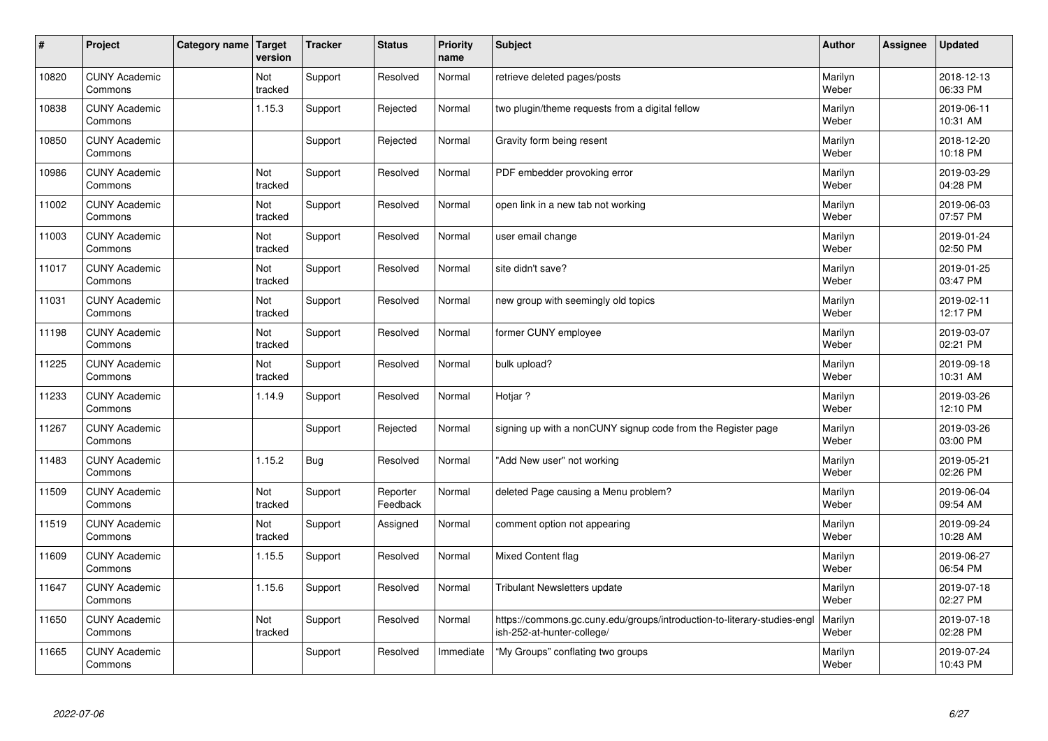| $\sharp$ | Project                         | Category name | Target<br>version | <b>Tracker</b> | <b>Status</b>        | <b>Priority</b><br>name | <b>Subject</b>                                                                                        | <b>Author</b>    | <b>Assignee</b> | <b>Updated</b>         |
|----------|---------------------------------|---------------|-------------------|----------------|----------------------|-------------------------|-------------------------------------------------------------------------------------------------------|------------------|-----------------|------------------------|
| 10820    | <b>CUNY Academic</b><br>Commons |               | Not<br>tracked    | Support        | Resolved             | Normal                  | retrieve deleted pages/posts                                                                          | Marilyn<br>Weber |                 | 2018-12-13<br>06:33 PM |
| 10838    | <b>CUNY Academic</b><br>Commons |               | 1.15.3            | Support        | Rejected             | Normal                  | two plugin/theme requests from a digital fellow                                                       | Marilyn<br>Weber |                 | 2019-06-11<br>10:31 AM |
| 10850    | <b>CUNY Academic</b><br>Commons |               |                   | Support        | Rejected             | Normal                  | Gravity form being resent                                                                             | Marilyn<br>Weber |                 | 2018-12-20<br>10:18 PM |
| 10986    | <b>CUNY Academic</b><br>Commons |               | Not<br>tracked    | Support        | Resolved             | Normal                  | PDF embedder provoking error                                                                          | Marilyn<br>Weber |                 | 2019-03-29<br>04:28 PM |
| 11002    | <b>CUNY Academic</b><br>Commons |               | Not<br>tracked    | Support        | Resolved             | Normal                  | open link in a new tab not working                                                                    | Marilyn<br>Weber |                 | 2019-06-03<br>07:57 PM |
| 11003    | <b>CUNY Academic</b><br>Commons |               | Not<br>tracked    | Support        | Resolved             | Normal                  | user email change                                                                                     | Marilyn<br>Weber |                 | 2019-01-24<br>02:50 PM |
| 11017    | <b>CUNY Academic</b><br>Commons |               | Not<br>tracked    | Support        | Resolved             | Normal                  | site didn't save?                                                                                     | Marilyn<br>Weber |                 | 2019-01-25<br>03:47 PM |
| 11031    | <b>CUNY Academic</b><br>Commons |               | Not<br>tracked    | Support        | Resolved             | Normal                  | new group with seemingly old topics                                                                   | Marilyn<br>Weber |                 | 2019-02-11<br>12:17 PM |
| 11198    | <b>CUNY Academic</b><br>Commons |               | Not<br>tracked    | Support        | Resolved             | Normal                  | former CUNY employee                                                                                  | Marilyn<br>Weber |                 | 2019-03-07<br>02:21 PM |
| 11225    | <b>CUNY Academic</b><br>Commons |               | Not<br>tracked    | Support        | Resolved             | Normal                  | bulk upload?                                                                                          | Marilyn<br>Weber |                 | 2019-09-18<br>10:31 AM |
| 11233    | <b>CUNY Academic</b><br>Commons |               | 1.14.9            | Support        | Resolved             | Normal                  | Hotjar?                                                                                               | Marilyn<br>Weber |                 | 2019-03-26<br>12:10 PM |
| 11267    | <b>CUNY Academic</b><br>Commons |               |                   | Support        | Rejected             | Normal                  | signing up with a nonCUNY signup code from the Register page                                          | Marilyn<br>Weber |                 | 2019-03-26<br>03:00 PM |
| 11483    | <b>CUNY Academic</b><br>Commons |               | 1.15.2            | Bug            | Resolved             | Normal                  | "Add New user" not working                                                                            | Marilyn<br>Weber |                 | 2019-05-21<br>02:26 PM |
| 11509    | <b>CUNY Academic</b><br>Commons |               | Not<br>tracked    | Support        | Reporter<br>Feedback | Normal                  | deleted Page causing a Menu problem?                                                                  | Marilyn<br>Weber |                 | 2019-06-04<br>09:54 AM |
| 11519    | <b>CUNY Academic</b><br>Commons |               | Not<br>tracked    | Support        | Assigned             | Normal                  | comment option not appearing                                                                          | Marilyn<br>Weber |                 | 2019-09-24<br>10:28 AM |
| 11609    | <b>CUNY Academic</b><br>Commons |               | 1.15.5            | Support        | Resolved             | Normal                  | <b>Mixed Content flag</b>                                                                             | Marilyn<br>Weber |                 | 2019-06-27<br>06:54 PM |
| 11647    | <b>CUNY Academic</b><br>Commons |               | 1.15.6            | Support        | Resolved             | Normal                  | Tribulant Newsletters update                                                                          | Marilyn<br>Weber |                 | 2019-07-18<br>02:27 PM |
| 11650    | <b>CUNY Academic</b><br>Commons |               | Not<br>tracked    | Support        | Resolved             | Normal                  | https://commons.gc.cuny.edu/groups/introduction-to-literary-studies-eng<br>ish-252-at-hunter-college/ | Marilyn<br>Weber |                 | 2019-07-18<br>02:28 PM |
| 11665    | <b>CUNY Academic</b><br>Commons |               |                   | Support        | Resolved             | Immediate               | "My Groups" conflating two groups                                                                     | Marilyn<br>Weber |                 | 2019-07-24<br>10:43 PM |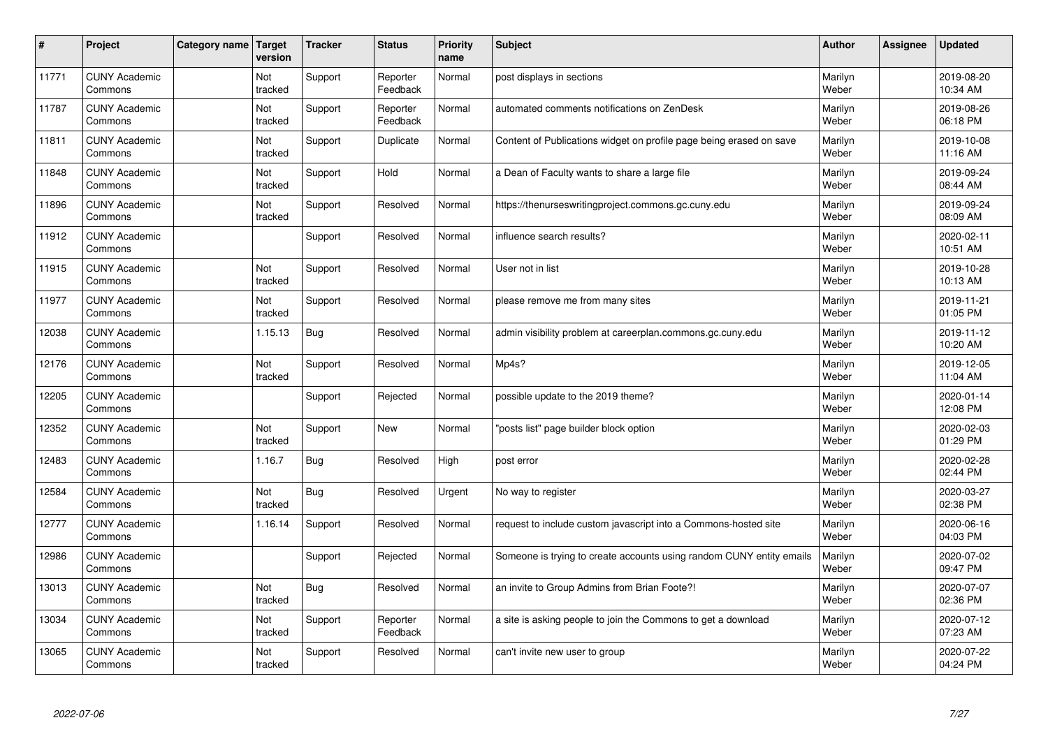| $\vert$ # | Project                         | Category name | Target<br>version     | <b>Tracker</b> | <b>Status</b>        | <b>Priority</b><br>name | <b>Subject</b>                                                       | <b>Author</b>    | <b>Assignee</b> | <b>Updated</b>         |
|-----------|---------------------------------|---------------|-----------------------|----------------|----------------------|-------------------------|----------------------------------------------------------------------|------------------|-----------------|------------------------|
| 11771     | <b>CUNY Academic</b><br>Commons |               | Not<br>tracked        | Support        | Reporter<br>Feedback | Normal                  | post displays in sections                                            | Marilyn<br>Weber |                 | 2019-08-20<br>10:34 AM |
| 11787     | <b>CUNY Academic</b><br>Commons |               | Not<br>tracked        | Support        | Reporter<br>Feedback | Normal                  | automated comments notifications on ZenDesk                          | Marilyn<br>Weber |                 | 2019-08-26<br>06:18 PM |
| 11811     | <b>CUNY Academic</b><br>Commons |               | Not<br>tracked        | Support        | Duplicate            | Normal                  | Content of Publications widget on profile page being erased on save  | Marilyn<br>Weber |                 | 2019-10-08<br>11:16 AM |
| 11848     | <b>CUNY Academic</b><br>Commons |               | Not<br>tracked        | Support        | Hold                 | Normal                  | a Dean of Faculty wants to share a large file                        | Marilyn<br>Weber |                 | 2019-09-24<br>08:44 AM |
| 11896     | <b>CUNY Academic</b><br>Commons |               | <b>Not</b><br>tracked | Support        | Resolved             | Normal                  | https://thenurseswritingproject.commons.gc.cuny.edu                  | Marilyn<br>Weber |                 | 2019-09-24<br>08:09 AM |
| 11912     | <b>CUNY Academic</b><br>Commons |               |                       | Support        | Resolved             | Normal                  | influence search results?                                            | Marilyn<br>Weber |                 | 2020-02-11<br>10:51 AM |
| 11915     | <b>CUNY Academic</b><br>Commons |               | Not<br>tracked        | Support        | Resolved             | Normal                  | User not in list                                                     | Marilyn<br>Weber |                 | 2019-10-28<br>10:13 AM |
| 11977     | <b>CUNY Academic</b><br>Commons |               | Not<br>tracked        | Support        | Resolved             | Normal                  | please remove me from many sites                                     | Marilyn<br>Weber |                 | 2019-11-21<br>01:05 PM |
| 12038     | <b>CUNY Academic</b><br>Commons |               | 1.15.13               | <b>Bug</b>     | Resolved             | Normal                  | admin visibility problem at careerplan.commons.gc.cuny.edu           | Marilyn<br>Weber |                 | 2019-11-12<br>10:20 AM |
| 12176     | <b>CUNY Academic</b><br>Commons |               | Not<br>tracked        | Support        | Resolved             | Normal                  | Mp4s?                                                                | Marilyn<br>Weber |                 | 2019-12-05<br>11:04 AM |
| 12205     | <b>CUNY Academic</b><br>Commons |               |                       | Support        | Rejected             | Normal                  | possible update to the 2019 theme?                                   | Marilyn<br>Weber |                 | 2020-01-14<br>12:08 PM |
| 12352     | <b>CUNY Academic</b><br>Commons |               | Not<br>tracked        | Support        | <b>New</b>           | Normal                  | 'posts list" page builder block option                               | Marilyn<br>Weber |                 | 2020-02-03<br>01:29 PM |
| 12483     | <b>CUNY Academic</b><br>Commons |               | 1.16.7                | <b>Bug</b>     | Resolved             | High                    | post error                                                           | Marilyn<br>Weber |                 | 2020-02-28<br>02:44 PM |
| 12584     | <b>CUNY Academic</b><br>Commons |               | Not<br>tracked        | <b>Bug</b>     | Resolved             | Urgent                  | No way to register                                                   | Marilyn<br>Weber |                 | 2020-03-27<br>02:38 PM |
| 12777     | <b>CUNY Academic</b><br>Commons |               | 1.16.14               | Support        | Resolved             | Normal                  | request to include custom javascript into a Commons-hosted site      | Marilyn<br>Weber |                 | 2020-06-16<br>04:03 PM |
| 12986     | <b>CUNY Academic</b><br>Commons |               |                       | Support        | Rejected             | Normal                  | Someone is trying to create accounts using random CUNY entity emails | Marilyn<br>Weber |                 | 2020-07-02<br>09:47 PM |
| 13013     | <b>CUNY Academic</b><br>Commons |               | Not<br>tracked        | Bug            | Resolved             | Normal                  | an invite to Group Admins from Brian Foote?!                         | Marilyn<br>Weber |                 | 2020-07-07<br>02:36 PM |
| 13034     | <b>CUNY Academic</b><br>Commons |               | Not<br>tracked        | Support        | Reporter<br>Feedback | Normal                  | a site is asking people to join the Commons to get a download        | Marilyn<br>Weber |                 | 2020-07-12<br>07:23 AM |
| 13065     | <b>CUNY Academic</b><br>Commons |               | Not<br>tracked        | Support        | Resolved             | Normal                  | can't invite new user to group                                       | Marilyn<br>Weber |                 | 2020-07-22<br>04:24 PM |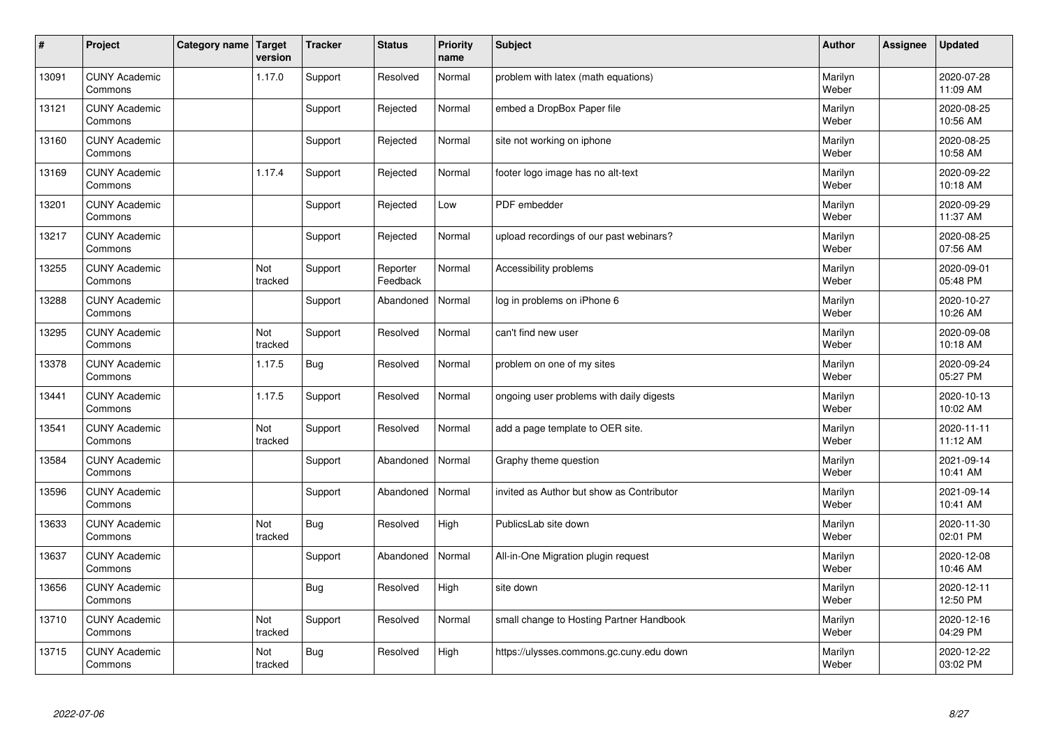| $\sharp$ | Project                         | Category name   Target | version        | <b>Tracker</b> | <b>Status</b>        | <b>Priority</b><br>name | <b>Subject</b>                            | <b>Author</b>    | Assignee | <b>Updated</b>         |
|----------|---------------------------------|------------------------|----------------|----------------|----------------------|-------------------------|-------------------------------------------|------------------|----------|------------------------|
| 13091    | <b>CUNY Academic</b><br>Commons |                        | 1.17.0         | Support        | Resolved             | Normal                  | problem with latex (math equations)       | Marilyn<br>Weber |          | 2020-07-28<br>11:09 AM |
| 13121    | <b>CUNY Academic</b><br>Commons |                        |                | Support        | Rejected             | Normal                  | embed a DropBox Paper file                | Marilyn<br>Weber |          | 2020-08-25<br>10:56 AM |
| 13160    | <b>CUNY Academic</b><br>Commons |                        |                | Support        | Rejected             | Normal                  | site not working on iphone                | Marilyn<br>Weber |          | 2020-08-25<br>10:58 AM |
| 13169    | <b>CUNY Academic</b><br>Commons |                        | 1.17.4         | Support        | Rejected             | Normal                  | footer logo image has no alt-text         | Marilyn<br>Weber |          | 2020-09-22<br>10:18 AM |
| 13201    | <b>CUNY Academic</b><br>Commons |                        |                | Support        | Rejected             | Low                     | PDF embedder                              | Marilyn<br>Weber |          | 2020-09-29<br>11:37 AM |
| 13217    | <b>CUNY Academic</b><br>Commons |                        |                | Support        | Rejected             | Normal                  | upload recordings of our past webinars?   | Marilyn<br>Weber |          | 2020-08-25<br>07:56 AM |
| 13255    | <b>CUNY Academic</b><br>Commons |                        | Not<br>tracked | Support        | Reporter<br>Feedback | Normal                  | Accessibility problems                    | Marilyn<br>Weber |          | 2020-09-01<br>05:48 PM |
| 13288    | <b>CUNY Academic</b><br>Commons |                        |                | Support        | Abandoned            | Normal                  | log in problems on iPhone 6               | Marilyn<br>Weber |          | 2020-10-27<br>10:26 AM |
| 13295    | <b>CUNY Academic</b><br>Commons |                        | Not<br>tracked | Support        | Resolved             | Normal                  | can't find new user                       | Marilyn<br>Weber |          | 2020-09-08<br>10:18 AM |
| 13378    | <b>CUNY Academic</b><br>Commons |                        | 1.17.5         | <b>Bug</b>     | Resolved             | Normal                  | problem on one of my sites                | Marilyn<br>Weber |          | 2020-09-24<br>05:27 PM |
| 13441    | <b>CUNY Academic</b><br>Commons |                        | 1.17.5         | Support        | Resolved             | Normal                  | ongoing user problems with daily digests  | Marilyn<br>Weber |          | 2020-10-13<br>10:02 AM |
| 13541    | <b>CUNY Academic</b><br>Commons |                        | Not<br>tracked | Support        | Resolved             | Normal                  | add a page template to OER site.          | Marilyn<br>Weber |          | 2020-11-11<br>11:12 AM |
| 13584    | <b>CUNY Academic</b><br>Commons |                        |                | Support        | Abandoned            | Normal                  | Graphy theme question                     | Marilyn<br>Weber |          | 2021-09-14<br>10:41 AM |
| 13596    | <b>CUNY Academic</b><br>Commons |                        |                | Support        | Abandoned            | Normal                  | invited as Author but show as Contributor | Marilyn<br>Weber |          | 2021-09-14<br>10:41 AM |
| 13633    | <b>CUNY Academic</b><br>Commons |                        | Not<br>tracked | Bug            | Resolved             | High                    | PublicsLab site down                      | Marilyn<br>Weber |          | 2020-11-30<br>02:01 PM |
| 13637    | <b>CUNY Academic</b><br>Commons |                        |                | Support        | Abandoned            | Normal                  | All-in-One Migration plugin request       | Marilyn<br>Weber |          | 2020-12-08<br>10:46 AM |
| 13656    | <b>CUNY Academic</b><br>Commons |                        |                | Bug            | Resolved             | High                    | site down                                 | Marilyn<br>Weber |          | 2020-12-11<br>12:50 PM |
| 13710    | <b>CUNY Academic</b><br>Commons |                        | Not<br>tracked | Support        | Resolved             | Normal                  | small change to Hosting Partner Handbook  | Marilyn<br>Weber |          | 2020-12-16<br>04:29 PM |
| 13715    | <b>CUNY Academic</b><br>Commons |                        | Not<br>tracked | Bug            | Resolved             | High                    | https://ulysses.commons.gc.cuny.edu down  | Marilyn<br>Weber |          | 2020-12-22<br>03:02 PM |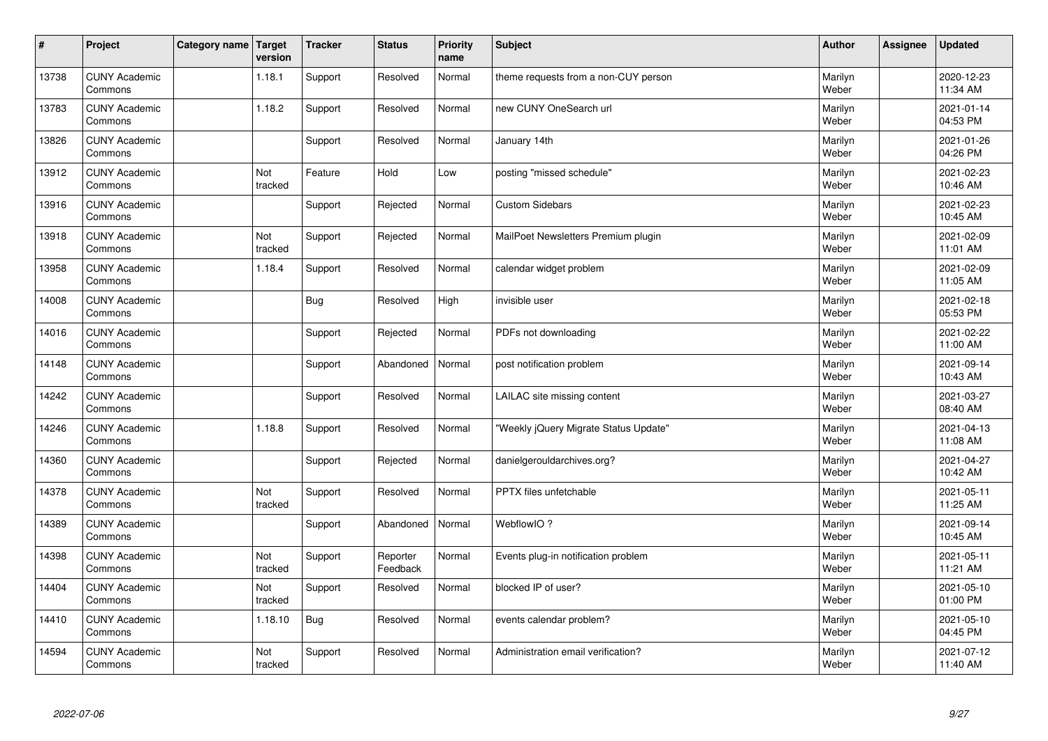| $\sharp$ | Project                         | Category name   Target | version               | <b>Tracker</b> | <b>Status</b>        | <b>Priority</b><br>name | <b>Subject</b>                        | <b>Author</b>    | Assignee | <b>Updated</b>         |
|----------|---------------------------------|------------------------|-----------------------|----------------|----------------------|-------------------------|---------------------------------------|------------------|----------|------------------------|
| 13738    | <b>CUNY Academic</b><br>Commons |                        | 1.18.1                | Support        | Resolved             | Normal                  | theme requests from a non-CUY person  | Marilyn<br>Weber |          | 2020-12-23<br>11:34 AM |
| 13783    | <b>CUNY Academic</b><br>Commons |                        | 1.18.2                | Support        | Resolved             | Normal                  | new CUNY OneSearch url                | Marilyn<br>Weber |          | 2021-01-14<br>04:53 PM |
| 13826    | <b>CUNY Academic</b><br>Commons |                        |                       | Support        | Resolved             | Normal                  | January 14th                          | Marilyn<br>Weber |          | 2021-01-26<br>04:26 PM |
| 13912    | <b>CUNY Academic</b><br>Commons |                        | Not<br>tracked        | Feature        | Hold                 | Low                     | posting "missed schedule"             | Marilyn<br>Weber |          | 2021-02-23<br>10:46 AM |
| 13916    | <b>CUNY Academic</b><br>Commons |                        |                       | Support        | Rejected             | Normal                  | <b>Custom Sidebars</b>                | Marilyn<br>Weber |          | 2021-02-23<br>10:45 AM |
| 13918    | <b>CUNY Academic</b><br>Commons |                        | <b>Not</b><br>tracked | Support        | Rejected             | Normal                  | MailPoet Newsletters Premium plugin   | Marilyn<br>Weber |          | 2021-02-09<br>11:01 AM |
| 13958    | <b>CUNY Academic</b><br>Commons |                        | 1.18.4                | Support        | Resolved             | Normal                  | calendar widget problem               | Marilyn<br>Weber |          | 2021-02-09<br>11:05 AM |
| 14008    | <b>CUNY Academic</b><br>Commons |                        |                       | <b>Bug</b>     | Resolved             | High                    | invisible user                        | Marilyn<br>Weber |          | 2021-02-18<br>05:53 PM |
| 14016    | <b>CUNY Academic</b><br>Commons |                        |                       | Support        | Rejected             | Normal                  | PDFs not downloading                  | Marilyn<br>Weber |          | 2021-02-22<br>11:00 AM |
| 14148    | <b>CUNY Academic</b><br>Commons |                        |                       | Support        | Abandoned            | Normal                  | post notification problem             | Marilyn<br>Weber |          | 2021-09-14<br>10:43 AM |
| 14242    | <b>CUNY Academic</b><br>Commons |                        |                       | Support        | Resolved             | Normal                  | LAILAC site missing content           | Marilyn<br>Weber |          | 2021-03-27<br>08:40 AM |
| 14246    | <b>CUNY Academic</b><br>Commons |                        | 1.18.8                | Support        | Resolved             | Normal                  | "Weekly jQuery Migrate Status Update" | Marilyn<br>Weber |          | 2021-04-13<br>11:08 AM |
| 14360    | <b>CUNY Academic</b><br>Commons |                        |                       | Support        | Rejected             | Normal                  | danielgerouldarchives.org?            | Marilyn<br>Weber |          | 2021-04-27<br>10:42 AM |
| 14378    | <b>CUNY Academic</b><br>Commons |                        | Not<br>tracked        | Support        | Resolved             | Normal                  | PPTX files unfetchable                | Marilyn<br>Weber |          | 2021-05-11<br>11:25 AM |
| 14389    | <b>CUNY Academic</b><br>Commons |                        |                       | Support        | Abandoned            | Normal                  | WebflowIO ?                           | Marilyn<br>Weber |          | 2021-09-14<br>10:45 AM |
| 14398    | <b>CUNY Academic</b><br>Commons |                        | Not<br>tracked        | Support        | Reporter<br>Feedback | Normal                  | Events plug-in notification problem   | Marilyn<br>Weber |          | 2021-05-11<br>11:21 AM |
| 14404    | <b>CUNY Academic</b><br>Commons |                        | Not<br>tracked        | Support        | Resolved             | Normal                  | blocked IP of user?                   | Marilyn<br>Weber |          | 2021-05-10<br>01:00 PM |
| 14410    | <b>CUNY Academic</b><br>Commons |                        | 1.18.10               | Bug            | Resolved             | Normal                  | events calendar problem?              | Marilyn<br>Weber |          | 2021-05-10<br>04:45 PM |
| 14594    | <b>CUNY Academic</b><br>Commons |                        | Not<br>tracked        | Support        | Resolved             | Normal                  | Administration email verification?    | Marilyn<br>Weber |          | 2021-07-12<br>11:40 AM |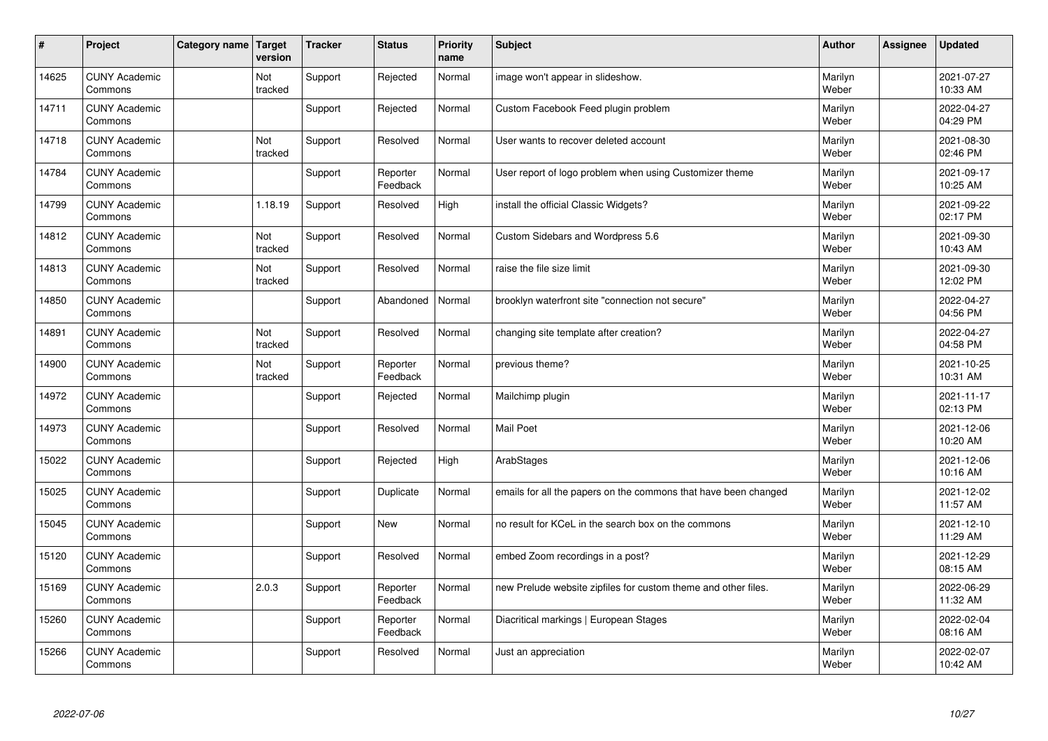| $\vert$ # | Project                         | <b>Category name</b> | Target<br>version | <b>Tracker</b> | <b>Status</b>        | <b>Priority</b><br>name | Subject                                                         | <b>Author</b>    | Assignee | <b>Updated</b>         |
|-----------|---------------------------------|----------------------|-------------------|----------------|----------------------|-------------------------|-----------------------------------------------------------------|------------------|----------|------------------------|
| 14625     | <b>CUNY Academic</b><br>Commons |                      | Not<br>tracked    | Support        | Rejected             | Normal                  | image won't appear in slideshow.                                | Marilyn<br>Weber |          | 2021-07-27<br>10:33 AM |
| 14711     | <b>CUNY Academic</b><br>Commons |                      |                   | Support        | Rejected             | Normal                  | Custom Facebook Feed plugin problem                             | Marilyn<br>Weber |          | 2022-04-27<br>04:29 PM |
| 14718     | <b>CUNY Academic</b><br>Commons |                      | Not<br>tracked    | Support        | Resolved             | Normal                  | User wants to recover deleted account                           | Marilyn<br>Weber |          | 2021-08-30<br>02:46 PM |
| 14784     | <b>CUNY Academic</b><br>Commons |                      |                   | Support        | Reporter<br>Feedback | Normal                  | User report of logo problem when using Customizer theme         | Marilyn<br>Weber |          | 2021-09-17<br>10:25 AM |
| 14799     | <b>CUNY Academic</b><br>Commons |                      | 1.18.19           | Support        | Resolved             | High                    | install the official Classic Widgets?                           | Marilyn<br>Weber |          | 2021-09-22<br>02:17 PM |
| 14812     | <b>CUNY Academic</b><br>Commons |                      | Not<br>tracked    | Support        | Resolved             | Normal                  | Custom Sidebars and Wordpress 5.6                               | Marilyn<br>Weber |          | 2021-09-30<br>10:43 AM |
| 14813     | <b>CUNY Academic</b><br>Commons |                      | Not<br>tracked    | Support        | Resolved             | Normal                  | raise the file size limit                                       | Marilyn<br>Weber |          | 2021-09-30<br>12:02 PM |
| 14850     | <b>CUNY Academic</b><br>Commons |                      |                   | Support        | Abandoned            | Normal                  | brooklyn waterfront site "connection not secure"                | Marilyn<br>Weber |          | 2022-04-27<br>04:56 PM |
| 14891     | <b>CUNY Academic</b><br>Commons |                      | Not<br>tracked    | Support        | Resolved             | Normal                  | changing site template after creation?                          | Marilyn<br>Weber |          | 2022-04-27<br>04:58 PM |
| 14900     | <b>CUNY Academic</b><br>Commons |                      | Not<br>tracked    | Support        | Reporter<br>Feedback | Normal                  | previous theme?                                                 | Marilyn<br>Weber |          | 2021-10-25<br>10:31 AM |
| 14972     | <b>CUNY Academic</b><br>Commons |                      |                   | Support        | Rejected             | Normal                  | Mailchimp plugin                                                | Marilyn<br>Weber |          | 2021-11-17<br>02:13 PM |
| 14973     | <b>CUNY Academic</b><br>Commons |                      |                   | Support        | Resolved             | Normal                  | <b>Mail Poet</b>                                                | Marilyn<br>Weber |          | 2021-12-06<br>10:20 AM |
| 15022     | <b>CUNY Academic</b><br>Commons |                      |                   | Support        | Rejected             | High                    | ArabStages                                                      | Marilyn<br>Weber |          | 2021-12-06<br>10:16 AM |
| 15025     | <b>CUNY Academic</b><br>Commons |                      |                   | Support        | Duplicate            | Normal                  | emails for all the papers on the commons that have been changed | Marilyn<br>Weber |          | 2021-12-02<br>11:57 AM |
| 15045     | <b>CUNY Academic</b><br>Commons |                      |                   | Support        | <b>New</b>           | Normal                  | no result for KCeL in the search box on the commons             | Marilyn<br>Weber |          | 2021-12-10<br>11:29 AM |
| 15120     | <b>CUNY Academic</b><br>Commons |                      |                   | Support        | Resolved             | Normal                  | embed Zoom recordings in a post?                                | Marilyn<br>Weber |          | 2021-12-29<br>08:15 AM |
| 15169     | <b>CUNY Academic</b><br>Commons |                      | 2.0.3             | Support        | Reporter<br>Feedback | Normal                  | new Prelude website zipfiles for custom theme and other files.  | Marilyn<br>Weber |          | 2022-06-29<br>11:32 AM |
| 15260     | <b>CUNY Academic</b><br>Commons |                      |                   | Support        | Reporter<br>Feedback | Normal                  | Diacritical markings   European Stages                          | Marilyn<br>Weber |          | 2022-02-04<br>08:16 AM |
| 15266     | <b>CUNY Academic</b><br>Commons |                      |                   | Support        | Resolved             | Normal                  | Just an appreciation                                            | Marilyn<br>Weber |          | 2022-02-07<br>10:42 AM |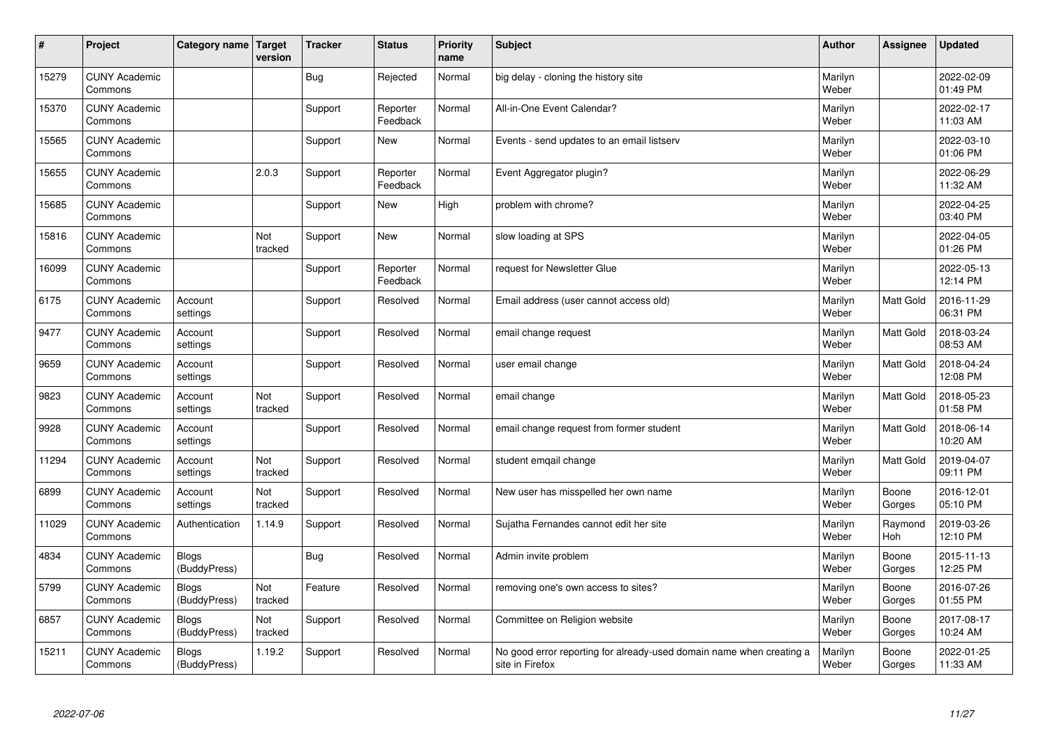| $\sharp$ | Project                         | Category name   Target       | version        | <b>Tracker</b> | <b>Status</b>        | <b>Priority</b><br>name | <b>Subject</b>                                                                          | <b>Author</b>    | Assignee              | <b>Updated</b>         |
|----------|---------------------------------|------------------------------|----------------|----------------|----------------------|-------------------------|-----------------------------------------------------------------------------------------|------------------|-----------------------|------------------------|
| 15279    | <b>CUNY Academic</b><br>Commons |                              |                | Bug            | Rejected             | Normal                  | big delay - cloning the history site                                                    | Marilyn<br>Weber |                       | 2022-02-09<br>01:49 PM |
| 15370    | <b>CUNY Academic</b><br>Commons |                              |                | Support        | Reporter<br>Feedback | Normal                  | All-in-One Event Calendar?                                                              | Marilyn<br>Weber |                       | 2022-02-17<br>11:03 AM |
| 15565    | <b>CUNY Academic</b><br>Commons |                              |                | Support        | <b>New</b>           | Normal                  | Events - send updates to an email listserv                                              | Marilyn<br>Weber |                       | 2022-03-10<br>01:06 PM |
| 15655    | <b>CUNY Academic</b><br>Commons |                              | 2.0.3          | Support        | Reporter<br>Feedback | Normal                  | Event Aggregator plugin?                                                                | Marilyn<br>Weber |                       | 2022-06-29<br>11:32 AM |
| 15685    | <b>CUNY Academic</b><br>Commons |                              |                | Support        | New                  | High                    | problem with chrome?                                                                    | Marilyn<br>Weber |                       | 2022-04-25<br>03:40 PM |
| 15816    | <b>CUNY Academic</b><br>Commons |                              | Not<br>tracked | Support        | <b>New</b>           | Normal                  | slow loading at SPS                                                                     | Marilyn<br>Weber |                       | 2022-04-05<br>01:26 PM |
| 16099    | <b>CUNY Academic</b><br>Commons |                              |                | Support        | Reporter<br>Feedback | Normal                  | request for Newsletter Glue                                                             | Marilyn<br>Weber |                       | 2022-05-13<br>12:14 PM |
| 6175     | <b>CUNY Academic</b><br>Commons | Account<br>settings          |                | Support        | Resolved             | Normal                  | Email address (user cannot access old)                                                  | Marilyn<br>Weber | Matt Gold             | 2016-11-29<br>06:31 PM |
| 9477     | <b>CUNY Academic</b><br>Commons | Account<br>settings          |                | Support        | Resolved             | Normal                  | email change request                                                                    | Marilyn<br>Weber | <b>Matt Gold</b>      | 2018-03-24<br>08:53 AM |
| 9659     | <b>CUNY Academic</b><br>Commons | Account<br>settings          |                | Support        | Resolved             | Normal                  | user email change                                                                       | Marilyn<br>Weber | <b>Matt Gold</b>      | 2018-04-24<br>12:08 PM |
| 9823     | <b>CUNY Academic</b><br>Commons | Account<br>settings          | Not<br>tracked | Support        | Resolved             | Normal                  | email change                                                                            | Marilyn<br>Weber | Matt Gold             | 2018-05-23<br>01:58 PM |
| 9928     | <b>CUNY Academic</b><br>Commons | Account<br>settings          |                | Support        | Resolved             | Normal                  | email change request from former student                                                | Marilyn<br>Weber | Matt Gold             | 2018-06-14<br>10:20 AM |
| 11294    | <b>CUNY Academic</b><br>Commons | Account<br>settings          | Not<br>tracked | Support        | Resolved             | Normal                  | student emgail change                                                                   | Marilyn<br>Weber | <b>Matt Gold</b>      | 2019-04-07<br>09:11 PM |
| 6899     | <b>CUNY Academic</b><br>Commons | Account<br>settings          | Not<br>tracked | Support        | Resolved             | Normal                  | New user has misspelled her own name                                                    | Marilyn<br>Weber | Boone<br>Gorges       | 2016-12-01<br>05:10 PM |
| 11029    | <b>CUNY Academic</b><br>Commons | Authentication               | 1.14.9         | Support        | Resolved             | Normal                  | Sujatha Fernandes cannot edit her site                                                  | Marilyn<br>Weber | Raymond<br><b>Hoh</b> | 2019-03-26<br>12:10 PM |
| 4834     | <b>CUNY Academic</b><br>Commons | <b>Blogs</b><br>(BuddyPress) |                | Bug            | Resolved             | Normal                  | Admin invite problem                                                                    | Marilyn<br>Weber | Boone<br>Gorges       | 2015-11-13<br>12:25 PM |
| 5799     | <b>CUNY Academic</b><br>Commons | <b>Blogs</b><br>(BuddyPress) | Not<br>tracked | Feature        | Resolved             | Normal                  | removing one's own access to sites?                                                     | Marilyn<br>Weber | Boone<br>Gorges       | 2016-07-26<br>01:55 PM |
| 6857     | <b>CUNY Academic</b><br>Commons | <b>Blogs</b><br>(BuddyPress) | Not<br>tracked | Support        | Resolved             | Normal                  | Committee on Religion website                                                           | Marilyn<br>Weber | Boone<br>Gorges       | 2017-08-17<br>10:24 AM |
| 15211    | <b>CUNY Academic</b><br>Commons | <b>Blogs</b><br>(BuddyPress) | 1.19.2         | Support        | Resolved             | Normal                  | No good error reporting for already-used domain name when creating a<br>site in Firefox | Marilyn<br>Weber | Boone<br>Gorges       | 2022-01-25<br>11:33 AM |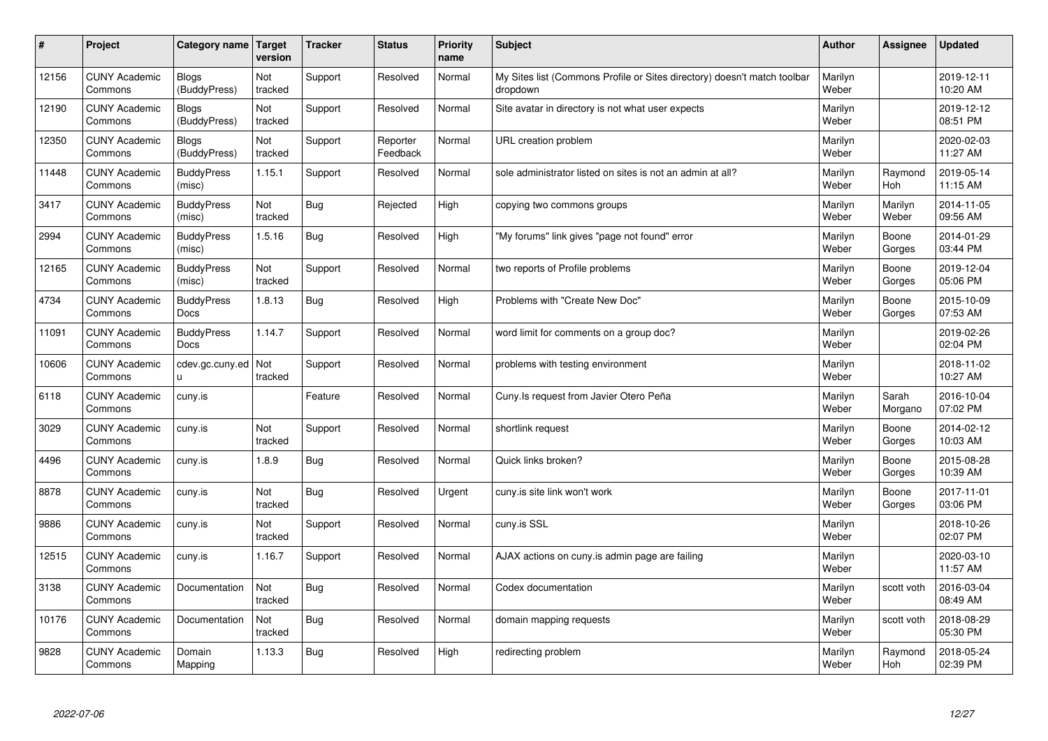| $\sharp$ | Project                         | Category name   Target           | version        | <b>Tracker</b> | <b>Status</b>        | <b>Priority</b><br>name | <b>Subject</b>                                                                       | <b>Author</b>    | Assignee              | <b>Updated</b>         |
|----------|---------------------------------|----------------------------------|----------------|----------------|----------------------|-------------------------|--------------------------------------------------------------------------------------|------------------|-----------------------|------------------------|
| 12156    | <b>CUNY Academic</b><br>Commons | <b>Blogs</b><br>(BuddyPress)     | Not<br>tracked | Support        | Resolved             | Normal                  | My Sites list (Commons Profile or Sites directory) doesn't match toolbar<br>dropdown | Marilyn<br>Weber |                       | 2019-12-11<br>10:20 AM |
| 12190    | <b>CUNY Academic</b><br>Commons | Blogs<br>(BuddyPress)            | Not<br>tracked | Support        | Resolved             | Normal                  | Site avatar in directory is not what user expects                                    | Marilyn<br>Weber |                       | 2019-12-12<br>08:51 PM |
| 12350    | <b>CUNY Academic</b><br>Commons | <b>Blogs</b><br>(BuddyPress)     | Not<br>tracked | Support        | Reporter<br>Feedback | Normal                  | URL creation problem                                                                 | Marilyn<br>Weber |                       | 2020-02-03<br>11:27 AM |
| 11448    | <b>CUNY Academic</b><br>Commons | <b>BuddyPress</b><br>(misc)      | 1.15.1         | Support        | Resolved             | Normal                  | sole administrator listed on sites is not an admin at all?                           | Marilyn<br>Weber | Raymond<br><b>Hoh</b> | 2019-05-14<br>11:15 AM |
| 3417     | <b>CUNY Academic</b><br>Commons | <b>BuddyPress</b><br>(misc)      | Not<br>tracked | Bug            | Rejected             | High                    | copying two commons groups                                                           | Marilyn<br>Weber | Marilyn<br>Weber      | 2014-11-05<br>09:56 AM |
| 2994     | <b>CUNY Academic</b><br>Commons | <b>BuddyPress</b><br>(misc)      | 1.5.16         | Bug            | Resolved             | High                    | "My forums" link gives "page not found" error                                        | Marilyn<br>Weber | Boone<br>Gorges       | 2014-01-29<br>03:44 PM |
| 12165    | <b>CUNY Academic</b><br>Commons | <b>BuddyPress</b><br>(misc)      | Not<br>tracked | Support        | Resolved             | Normal                  | two reports of Profile problems                                                      | Marilyn<br>Weber | Boone<br>Gorges       | 2019-12-04<br>05:06 PM |
| 4734     | <b>CUNY Academic</b><br>Commons | <b>BuddyPress</b><br>Docs        | 1.8.13         | Bug            | Resolved             | High                    | Problems with "Create New Doc"                                                       | Marilyn<br>Weber | Boone<br>Gorges       | 2015-10-09<br>07:53 AM |
| 11091    | <b>CUNY Academic</b><br>Commons | <b>BuddyPress</b><br><b>Docs</b> | 1.14.7         | Support        | Resolved             | Normal                  | word limit for comments on a group doc?                                              | Marilyn<br>Weber |                       | 2019-02-26<br>02:04 PM |
| 10606    | <b>CUNY Academic</b><br>Commons | cdev.gc.cuny.ed<br>u.            | Not<br>tracked | Support        | Resolved             | Normal                  | problems with testing environment                                                    | Marilyn<br>Weber |                       | 2018-11-02<br>10:27 AM |
| 6118     | <b>CUNY Academic</b><br>Commons | cuny.is                          |                | Feature        | Resolved             | Normal                  | Cuny.Is request from Javier Otero Peña                                               | Marilyn<br>Weber | Sarah<br>Morgano      | 2016-10-04<br>07:02 PM |
| 3029     | <b>CUNY Academic</b><br>Commons | cuny.is                          | Not<br>tracked | Support        | Resolved             | Normal                  | shortlink request                                                                    | Marilyn<br>Weber | Boone<br>Gorges       | 2014-02-12<br>10:03 AM |
| 4496     | <b>CUNY Academic</b><br>Commons | cuny.is                          | 1.8.9          | Bug            | Resolved             | Normal                  | Quick links broken?                                                                  | Marilyn<br>Weber | Boone<br>Gorges       | 2015-08-28<br>10:39 AM |
| 8878     | <b>CUNY Academic</b><br>Commons | cuny.is                          | Not<br>tracked | Bug            | Resolved             | Urgent                  | cuny.is site link won't work                                                         | Marilyn<br>Weber | Boone<br>Gorges       | 2017-11-01<br>03:06 PM |
| 9886     | <b>CUNY Academic</b><br>Commons | cuny.is                          | Not<br>tracked | Support        | Resolved             | Normal                  | cuny.is SSL                                                                          | Marilyn<br>Weber |                       | 2018-10-26<br>02:07 PM |
| 12515    | <b>CUNY Academic</b><br>Commons | cuny.is                          | 1.16.7         | Support        | Resolved             | Normal                  | AJAX actions on cuny is admin page are failing                                       | Marilyn<br>Weber |                       | 2020-03-10<br>11:57 AM |
| 3138     | <b>CUNY Academic</b><br>Commons | Documentation                    | Not<br>tracked | Bug            | Resolved             | Normal                  | Codex documentation                                                                  | Marilyn<br>Weber | scott voth            | 2016-03-04<br>08:49 AM |
| 10176    | <b>CUNY Academic</b><br>Commons | Documentation                    | Not<br>tracked | Bug            | Resolved             | Normal                  | domain mapping requests                                                              | Marilyn<br>Weber | scott voth            | 2018-08-29<br>05:30 PM |
| 9828     | <b>CUNY Academic</b><br>Commons | Domain<br>Mapping                | 1.13.3         | Bug            | Resolved             | High                    | redirecting problem                                                                  | Marilyn<br>Weber | Raymond<br>Hoh        | 2018-05-24<br>02:39 PM |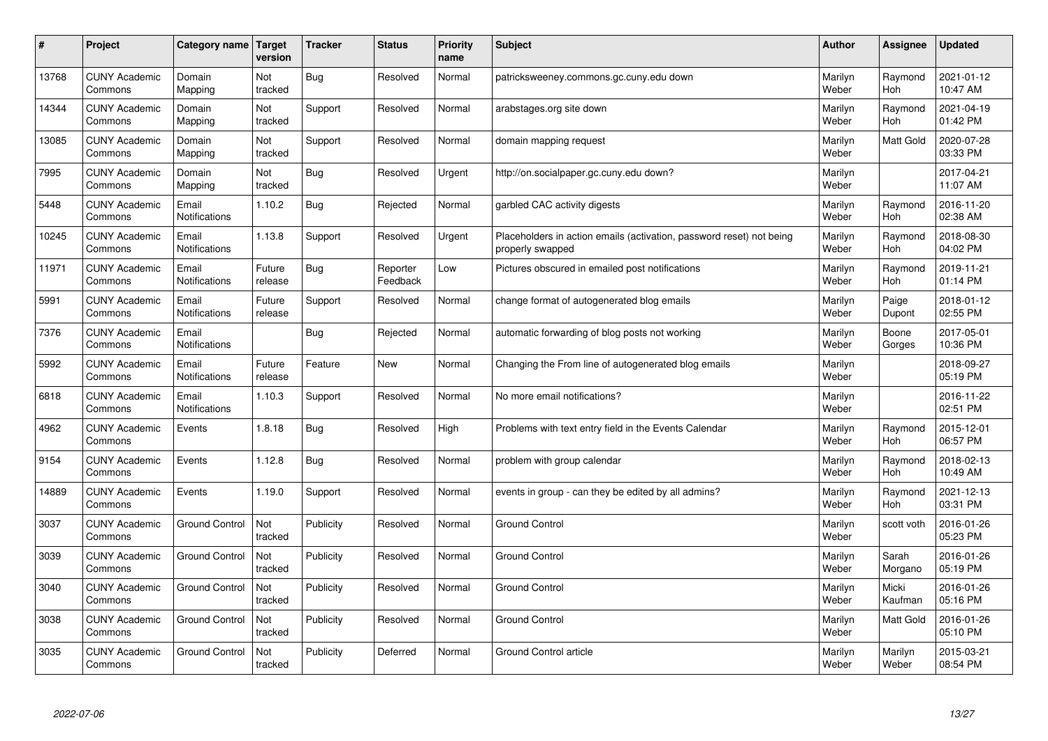| $\pmb{\sharp}$ | Project                         | Category name          | Target<br>version | <b>Tracker</b> | <b>Status</b>        | <b>Priority</b><br>name | <b>Subject</b>                                                                           | <b>Author</b>    | Assignee              | <b>Updated</b>         |
|----------------|---------------------------------|------------------------|-------------------|----------------|----------------------|-------------------------|------------------------------------------------------------------------------------------|------------------|-----------------------|------------------------|
| 13768          | <b>CUNY Academic</b><br>Commons | Domain<br>Mapping      | Not<br>tracked    | Bug            | Resolved             | Normal                  | patricksweeney.commons.gc.cuny.edu down                                                  | Marilyn<br>Weber | Raymond<br><b>Hoh</b> | 2021-01-12<br>10:47 AM |
| 14344          | <b>CUNY Academic</b><br>Commons | Domain<br>Mapping      | Not<br>tracked    | Support        | Resolved             | Normal                  | arabstages.org site down                                                                 | Marilyn<br>Weber | Raymond<br>Hoh        | 2021-04-19<br>01:42 PM |
| 13085          | <b>CUNY Academic</b><br>Commons | Domain<br>Mapping      | Not<br>tracked    | Support        | Resolved             | Normal                  | domain mapping request                                                                   | Marilyn<br>Weber | <b>Matt Gold</b>      | 2020-07-28<br>03:33 PM |
| 7995           | <b>CUNY Academic</b><br>Commons | Domain<br>Mapping      | Not<br>tracked    | <b>Bug</b>     | Resolved             | Urgent                  | http://on.socialpaper.gc.cuny.edu down?                                                  | Marilyn<br>Weber |                       | 2017-04-21<br>11:07 AM |
| 5448           | <b>CUNY Academic</b><br>Commons | Email<br>Notifications | 1.10.2            | <b>Bug</b>     | Rejected             | Normal                  | garbled CAC activity digests                                                             | Marilyn<br>Weber | Raymond<br>Hoh        | 2016-11-20<br>02:38 AM |
| 10245          | <b>CUNY Academic</b><br>Commons | Email<br>Notifications | 1.13.8            | Support        | Resolved             | Urgent                  | Placeholders in action emails (activation, password reset) not being<br>properly swapped | Marilyn<br>Weber | Raymond<br>Hoh        | 2018-08-30<br>04:02 PM |
| 11971          | <b>CUNY Academic</b><br>Commons | Email<br>Notifications | Future<br>release | <b>Bug</b>     | Reporter<br>Feedback | Low                     | Pictures obscured in emailed post notifications                                          | Marilyn<br>Weber | Raymond<br>Hoh        | 2019-11-21<br>01:14 PM |
| 5991           | <b>CUNY Academic</b><br>Commons | Email<br>Notifications | Future<br>release | Support        | Resolved             | Normal                  | change format of autogenerated blog emails                                               | Marilyn<br>Weber | Paige<br>Dupont       | 2018-01-12<br>02:55 PM |
| 7376           | <b>CUNY Academic</b><br>Commons | Email<br>Notifications |                   | Bug            | Rejected             | Normal                  | automatic forwarding of blog posts not working                                           | Marilyn<br>Weber | Boone<br>Gorges       | 2017-05-01<br>10:36 PM |
| 5992           | <b>CUNY Academic</b><br>Commons | Email<br>Notifications | Future<br>release | Feature        | <b>New</b>           | Normal                  | Changing the From line of autogenerated blog emails                                      | Marilyn<br>Weber |                       | 2018-09-27<br>05:19 PM |
| 6818           | <b>CUNY Academic</b><br>Commons | Email<br>Notifications | 1.10.3            | Support        | Resolved             | Normal                  | No more email notifications?                                                             | Marilyn<br>Weber |                       | 2016-11-22<br>02:51 PM |
| 4962           | <b>CUNY Academic</b><br>Commons | Events                 | 1.8.18            | Bug            | Resolved             | High                    | Problems with text entry field in the Events Calendar                                    | Marilyn<br>Weber | Raymond<br>Hoh        | 2015-12-01<br>06:57 PM |
| 9154           | <b>CUNY Academic</b><br>Commons | Events                 | 1.12.8            | Bug            | Resolved             | Normal                  | problem with group calendar                                                              | Marilyn<br>Weber | Raymond<br>Hoh        | 2018-02-13<br>10:49 AM |
| 14889          | <b>CUNY Academic</b><br>Commons | Events                 | 1.19.0            | Support        | Resolved             | Normal                  | events in group - can they be edited by all admins?                                      | Marilyn<br>Weber | Raymond<br><b>Hoh</b> | 2021-12-13<br>03:31 PM |
| 3037           | <b>CUNY Academic</b><br>Commons | <b>Ground Control</b>  | Not<br>tracked    | Publicity      | Resolved             | Normal                  | <b>Ground Control</b>                                                                    | Marilyn<br>Weber | scott voth            | 2016-01-26<br>05:23 PM |
| 3039           | <b>CUNY Academic</b><br>Commons | <b>Ground Control</b>  | Not<br>tracked    | Publicity      | Resolved             | Normal                  | <b>Ground Control</b>                                                                    | Marilyn<br>Weber | Sarah<br>Morgano      | 2016-01-26<br>05:19 PM |
| 3040           | <b>CUNY Academic</b><br>Commons | <b>Ground Control</b>  | Not<br>tracked    | Publicity      | Resolved             | Normal                  | <b>Ground Control</b>                                                                    | Marilyn<br>Weber | Micki<br>Kaufman      | 2016-01-26<br>05:16 PM |
| 3038           | <b>CUNY Academic</b><br>Commons | <b>Ground Control</b>  | Not<br>tracked    | Publicity      | Resolved             | Normal                  | <b>Ground Control</b>                                                                    | Marilyn<br>Weber | Matt Gold             | 2016-01-26<br>05:10 PM |
| 3035           | <b>CUNY Academic</b><br>Commons | <b>Ground Control</b>  | Not<br>tracked    | Publicity      | Deferred             | Normal                  | Ground Control article                                                                   | Marilyn<br>Weber | Marilyn<br>Weber      | 2015-03-21<br>08:54 PM |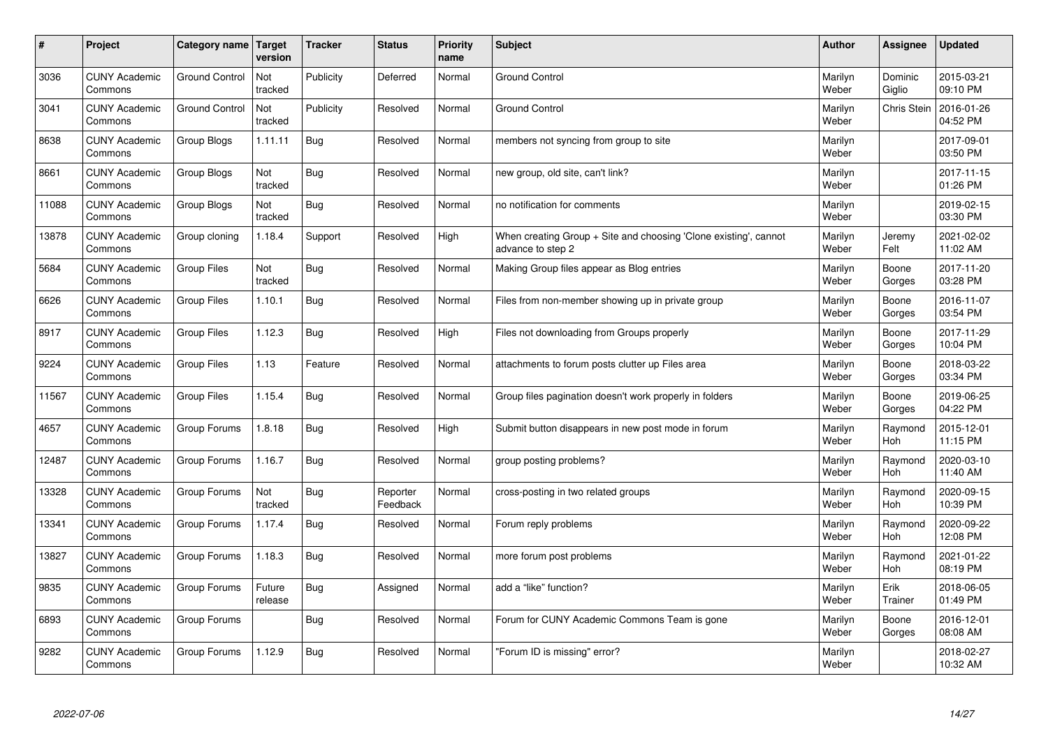| $\sharp$ | Project                         | Category name   Target | version           | <b>Tracker</b> | <b>Status</b>        | <b>Priority</b><br>name | <b>Subject</b>                                                                        | <b>Author</b>    | <b>Assignee</b>       | <b>Updated</b>         |
|----------|---------------------------------|------------------------|-------------------|----------------|----------------------|-------------------------|---------------------------------------------------------------------------------------|------------------|-----------------------|------------------------|
| 3036     | <b>CUNY Academic</b><br>Commons | <b>Ground Control</b>  | Not<br>tracked    | Publicity      | Deferred             | Normal                  | <b>Ground Control</b>                                                                 | Marilyn<br>Weber | Dominic<br>Giglio     | 2015-03-21<br>09:10 PM |
| 3041     | <b>CUNY Academic</b><br>Commons | <b>Ground Control</b>  | Not<br>tracked    | Publicity      | Resolved             | Normal                  | <b>Ground Control</b>                                                                 | Marilyn<br>Weber | <b>Chris Stein</b>    | 2016-01-26<br>04:52 PM |
| 8638     | <b>CUNY Academic</b><br>Commons | Group Blogs            | 1.11.11           | Bug            | Resolved             | Normal                  | members not syncing from group to site                                                | Marilyn<br>Weber |                       | 2017-09-01<br>03:50 PM |
| 8661     | <b>CUNY Academic</b><br>Commons | Group Blogs            | Not<br>tracked    | <b>Bug</b>     | Resolved             | Normal                  | new group, old site, can't link?                                                      | Marilyn<br>Weber |                       | 2017-11-15<br>01:26 PM |
| 11088    | <b>CUNY Academic</b><br>Commons | Group Blogs            | Not<br>tracked    | Bug            | Resolved             | Normal                  | no notification for comments                                                          | Marilyn<br>Weber |                       | 2019-02-15<br>03:30 PM |
| 13878    | <b>CUNY Academic</b><br>Commons | Group cloning          | 1.18.4            | Support        | Resolved             | High                    | When creating Group + Site and choosing 'Clone existing', cannot<br>advance to step 2 | Marilyn<br>Weber | Jeremy<br>Felt        | 2021-02-02<br>11:02 AM |
| 5684     | <b>CUNY Academic</b><br>Commons | <b>Group Files</b>     | Not<br>tracked    | Bug            | Resolved             | Normal                  | Making Group files appear as Blog entries                                             | Marilyn<br>Weber | Boone<br>Gorges       | 2017-11-20<br>03:28 PM |
| 6626     | <b>CUNY Academic</b><br>Commons | <b>Group Files</b>     | 1.10.1            | Bug            | Resolved             | Normal                  | Files from non-member showing up in private group                                     | Marilyn<br>Weber | Boone<br>Gorges       | 2016-11-07<br>03:54 PM |
| 8917     | <b>CUNY Academic</b><br>Commons | <b>Group Files</b>     | 1.12.3            | Bug            | Resolved             | High                    | Files not downloading from Groups properly                                            | Marilyn<br>Weber | Boone<br>Gorges       | 2017-11-29<br>10:04 PM |
| 9224     | <b>CUNY Academic</b><br>Commons | <b>Group Files</b>     | 1.13              | Feature        | Resolved             | Normal                  | attachments to forum posts clutter up Files area                                      | Marilyn<br>Weber | Boone<br>Gorges       | 2018-03-22<br>03:34 PM |
| 11567    | <b>CUNY Academic</b><br>Commons | <b>Group Files</b>     | 1.15.4            | Bug            | Resolved             | Normal                  | Group files pagination doesn't work properly in folders                               | Marilyn<br>Weber | Boone<br>Gorges       | 2019-06-25<br>04:22 PM |
| 4657     | <b>CUNY Academic</b><br>Commons | Group Forums           | 1.8.18            | <b>Bug</b>     | Resolved             | High                    | Submit button disappears in new post mode in forum                                    | Marilyn<br>Weber | Raymond<br>Hoh        | 2015-12-01<br>11:15 PM |
| 12487    | <b>CUNY Academic</b><br>Commons | Group Forums           | 1.16.7            | <b>Bug</b>     | Resolved             | Normal                  | group posting problems?                                                               | Marilyn<br>Weber | Raymond<br>Hoh        | 2020-03-10<br>11:40 AM |
| 13328    | <b>CUNY Academic</b><br>Commons | Group Forums           | Not<br>tracked    | Bug            | Reporter<br>Feedback | Normal                  | cross-posting in two related groups                                                   | Marilyn<br>Weber | Raymond<br><b>Hoh</b> | 2020-09-15<br>10:39 PM |
| 13341    | <b>CUNY Academic</b><br>Commons | Group Forums           | 1.17.4            | <b>Bug</b>     | Resolved             | Normal                  | Forum reply problems                                                                  | Marilyn<br>Weber | Raymond<br>Hoh        | 2020-09-22<br>12:08 PM |
| 13827    | <b>CUNY Academic</b><br>Commons | Group Forums           | 1.18.3            | Bug            | Resolved             | Normal                  | more forum post problems                                                              | Marilyn<br>Weber | Raymond<br>Hoh        | 2021-01-22<br>08:19 PM |
| 9835     | <b>CUNY Academic</b><br>Commons | Group Forums           | Future<br>release | Bug            | Assigned             | Normal                  | add a "like" function?                                                                | Marilyn<br>Weber | Erik<br>Trainer       | 2018-06-05<br>01:49 PM |
| 6893     | <b>CUNY Academic</b><br>Commons | Group Forums           |                   | <b>Bug</b>     | Resolved             | Normal                  | Forum for CUNY Academic Commons Team is gone                                          | Marilyn<br>Weber | Boone<br>Gorges       | 2016-12-01<br>08:08 AM |
| 9282     | <b>CUNY Academic</b><br>Commons | Group Forums           | 1.12.9            | <b>Bug</b>     | Resolved             | Normal                  | 'Forum ID is missing" error?                                                          | Marilyn<br>Weber |                       | 2018-02-27<br>10:32 AM |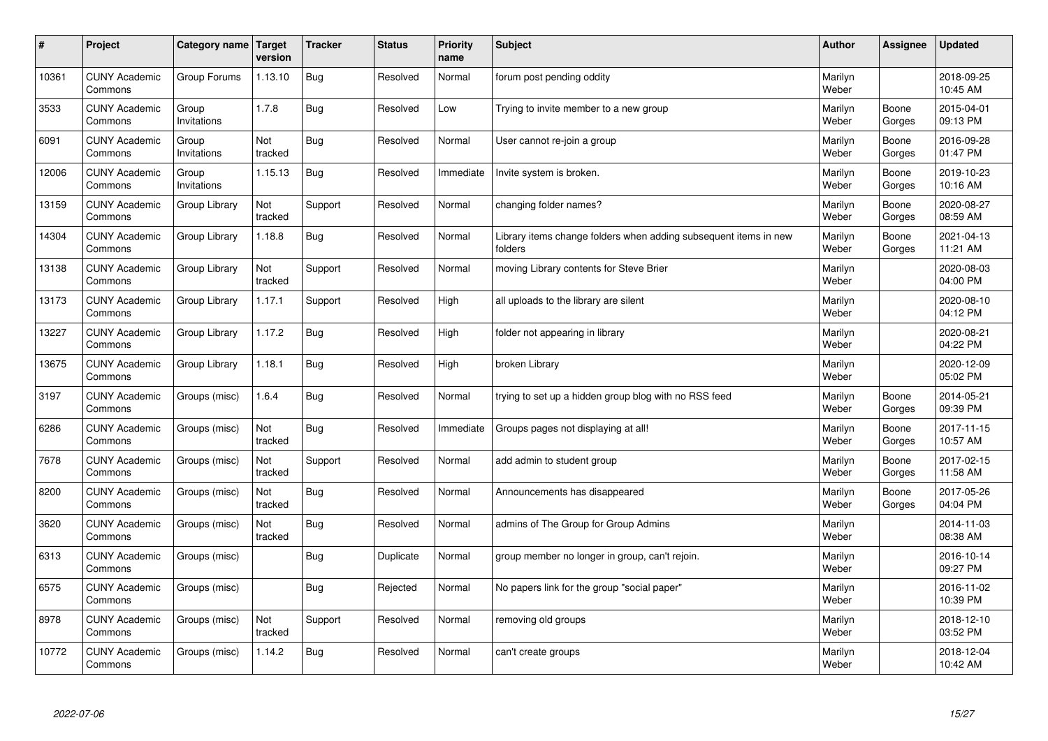| $\sharp$ | Project                         | Category name   Target | version        | <b>Tracker</b> | <b>Status</b> | <b>Priority</b><br>name | <b>Subject</b>                                                              | <b>Author</b>    | Assignee        | <b>Updated</b>         |
|----------|---------------------------------|------------------------|----------------|----------------|---------------|-------------------------|-----------------------------------------------------------------------------|------------------|-----------------|------------------------|
| 10361    | <b>CUNY Academic</b><br>Commons | Group Forums           | 1.13.10        | <b>Bug</b>     | Resolved      | Normal                  | forum post pending oddity                                                   | Marilyn<br>Weber |                 | 2018-09-25<br>10:45 AM |
| 3533     | <b>CUNY Academic</b><br>Commons | Group<br>Invitations   | 1.7.8          | Bug            | Resolved      | Low                     | Trying to invite member to a new group                                      | Marilyn<br>Weber | Boone<br>Gorges | 2015-04-01<br>09:13 PM |
| 6091     | <b>CUNY Academic</b><br>Commons | Group<br>Invitations   | Not<br>tracked | Bug            | Resolved      | Normal                  | User cannot re-join a group                                                 | Marilyn<br>Weber | Boone<br>Gorges | 2016-09-28<br>01:47 PM |
| 12006    | <b>CUNY Academic</b><br>Commons | Group<br>Invitations   | 1.15.13        | Bug            | Resolved      | Immediate               | Invite system is broken.                                                    | Marilyn<br>Weber | Boone<br>Gorges | 2019-10-23<br>10:16 AM |
| 13159    | <b>CUNY Academic</b><br>Commons | Group Library          | Not<br>tracked | Support        | Resolved      | Normal                  | changing folder names?                                                      | Marilyn<br>Weber | Boone<br>Gorges | 2020-08-27<br>08:59 AM |
| 14304    | <b>CUNY Academic</b><br>Commons | Group Library          | 1.18.8         | Bug            | Resolved      | Normal                  | Library items change folders when adding subsequent items in new<br>folders | Marilyn<br>Weber | Boone<br>Gorges | 2021-04-13<br>11:21 AM |
| 13138    | <b>CUNY Academic</b><br>Commons | Group Library          | Not<br>tracked | Support        | Resolved      | Normal                  | moving Library contents for Steve Brier                                     | Marilyn<br>Weber |                 | 2020-08-03<br>04:00 PM |
| 13173    | <b>CUNY Academic</b><br>Commons | Group Library          | 1.17.1         | Support        | Resolved      | High                    | all uploads to the library are silent                                       | Marilyn<br>Weber |                 | 2020-08-10<br>04:12 PM |
| 13227    | <b>CUNY Academic</b><br>Commons | Group Library          | 1.17.2         | Bug            | Resolved      | High                    | folder not appearing in library                                             | Marilyn<br>Weber |                 | 2020-08-21<br>04:22 PM |
| 13675    | <b>CUNY Academic</b><br>Commons | Group Library          | 1.18.1         | Bug            | Resolved      | High                    | broken Library                                                              | Marilyn<br>Weber |                 | 2020-12-09<br>05:02 PM |
| 3197     | <b>CUNY Academic</b><br>Commons | Groups (misc)          | 1.6.4          | <b>Bug</b>     | Resolved      | Normal                  | trying to set up a hidden group blog with no RSS feed                       | Marilyn<br>Weber | Boone<br>Gorges | 2014-05-21<br>09:39 PM |
| 6286     | <b>CUNY Academic</b><br>Commons | Groups (misc)          | Not<br>tracked | <b>Bug</b>     | Resolved      | Immediate               | Groups pages not displaying at all!                                         | Marilyn<br>Weber | Boone<br>Gorges | 2017-11-15<br>10:57 AM |
| 7678     | <b>CUNY Academic</b><br>Commons | Groups (misc)          | Not<br>tracked | Support        | Resolved      | Normal                  | add admin to student group                                                  | Marilyn<br>Weber | Boone<br>Gorges | 2017-02-15<br>11:58 AM |
| 8200     | <b>CUNY Academic</b><br>Commons | Groups (misc)          | Not<br>tracked | Bug            | Resolved      | Normal                  | Announcements has disappeared                                               | Marilyn<br>Weber | Boone<br>Gorges | 2017-05-26<br>04:04 PM |
| 3620     | <b>CUNY Academic</b><br>Commons | Groups (misc)          | Not<br>tracked | Bug            | Resolved      | Normal                  | admins of The Group for Group Admins                                        | Marilyn<br>Weber |                 | 2014-11-03<br>08:38 AM |
| 6313     | <b>CUNY Academic</b><br>Commons | Groups (misc)          |                | <b>Bug</b>     | Duplicate     | Normal                  | group member no longer in group, can't rejoin.                              | Marilyn<br>Weber |                 | 2016-10-14<br>09:27 PM |
| 6575     | <b>CUNY Academic</b><br>Commons | Groups (misc)          |                | Bug            | Rejected      | Normal                  | No papers link for the group "social paper"                                 | Marilyn<br>Weber |                 | 2016-11-02<br>10:39 PM |
| 8978     | <b>CUNY Academic</b><br>Commons | Groups (misc)          | Not<br>tracked | Support        | Resolved      | Normal                  | removing old groups                                                         | Marilyn<br>Weber |                 | 2018-12-10<br>03:52 PM |
| 10772    | <b>CUNY Academic</b><br>Commons | Groups (misc)          | 1.14.2         | <b>Bug</b>     | Resolved      | Normal                  | can't create groups                                                         | Marilyn<br>Weber |                 | 2018-12-04<br>10:42 AM |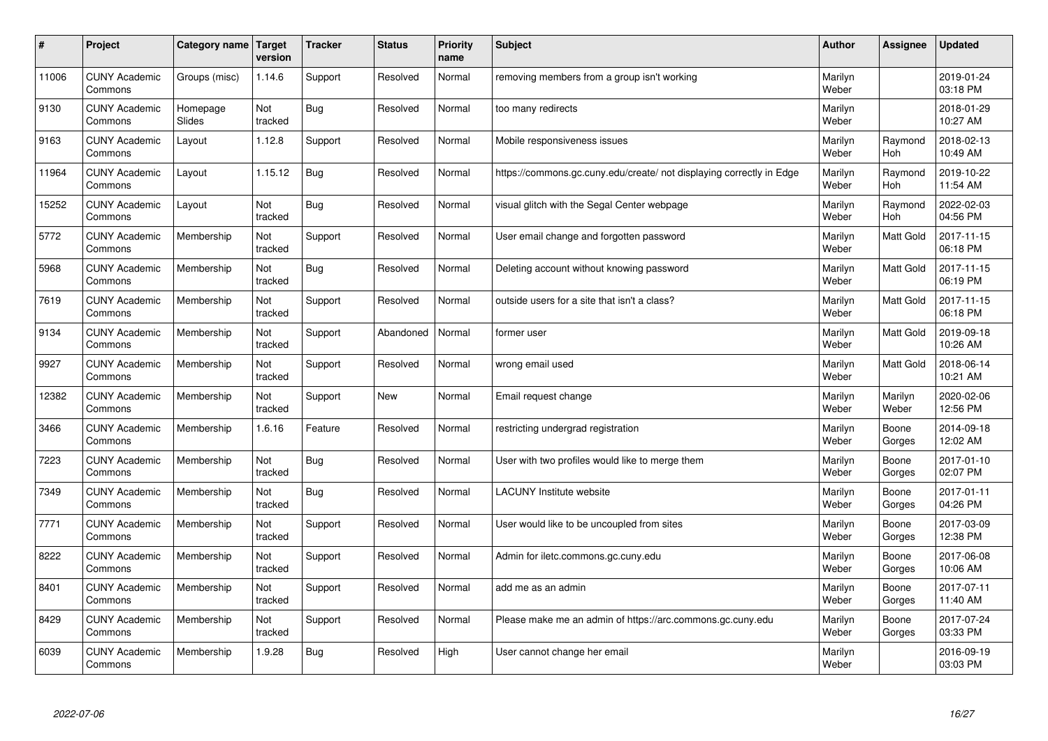| $\pmb{\#}$ | Project                         | Category name             | <b>Target</b><br>version | <b>Tracker</b> | <b>Status</b> | <b>Priority</b><br>name | <b>Subject</b>                                                       | <b>Author</b>    | Assignee              | <b>Updated</b>         |
|------------|---------------------------------|---------------------------|--------------------------|----------------|---------------|-------------------------|----------------------------------------------------------------------|------------------|-----------------------|------------------------|
| 11006      | <b>CUNY Academic</b><br>Commons | Groups (misc)             | 1.14.6                   | Support        | Resolved      | Normal                  | removing members from a group isn't working                          | Marilyn<br>Weber |                       | 2019-01-24<br>03:18 PM |
| 9130       | <b>CUNY Academic</b><br>Commons | Homepage<br><b>Slides</b> | Not<br>tracked           | Bug            | Resolved      | Normal                  | too many redirects                                                   | Marilyn<br>Weber |                       | 2018-01-29<br>10:27 AM |
| 9163       | <b>CUNY Academic</b><br>Commons | Layout                    | 1.12.8                   | Support        | Resolved      | Normal                  | Mobile responsiveness issues                                         | Marilyn<br>Weber | Raymond<br><b>Hoh</b> | 2018-02-13<br>10:49 AM |
| 11964      | <b>CUNY Academic</b><br>Commons | Layout                    | 1.15.12                  | <b>Bug</b>     | Resolved      | Normal                  | https://commons.gc.cuny.edu/create/ not displaying correctly in Edge | Marilyn<br>Weber | Raymond<br><b>Hoh</b> | 2019-10-22<br>11:54 AM |
| 15252      | <b>CUNY Academic</b><br>Commons | Layout                    | Not<br>tracked           | <b>Bug</b>     | Resolved      | Normal                  | visual glitch with the Segal Center webpage                          | Marilyn<br>Weber | Raymond<br>Hoh        | 2022-02-03<br>04:56 PM |
| 5772       | <b>CUNY Academic</b><br>Commons | Membership                | Not<br>tracked           | Support        | Resolved      | Normal                  | User email change and forgotten password                             | Marilyn<br>Weber | Matt Gold             | 2017-11-15<br>06:18 PM |
| 5968       | <b>CUNY Academic</b><br>Commons | Membership                | Not<br>tracked           | <b>Bug</b>     | Resolved      | Normal                  | Deleting account without knowing password                            | Marilyn<br>Weber | Matt Gold             | 2017-11-15<br>06:19 PM |
| 7619       | <b>CUNY Academic</b><br>Commons | Membership                | Not<br>tracked           | Support        | Resolved      | Normal                  | outside users for a site that isn't a class?                         | Marilyn<br>Weber | Matt Gold             | 2017-11-15<br>06:18 PM |
| 9134       | <b>CUNY Academic</b><br>Commons | Membership                | Not<br>tracked           | Support        | Abandoned     | Normal                  | former user                                                          | Marilyn<br>Weber | <b>Matt Gold</b>      | 2019-09-18<br>10:26 AM |
| 9927       | <b>CUNY Academic</b><br>Commons | Membership                | Not<br>tracked           | Support        | Resolved      | Normal                  | wrong email used                                                     | Marilyn<br>Weber | Matt Gold             | 2018-06-14<br>10:21 AM |
| 12382      | <b>CUNY Academic</b><br>Commons | Membership                | Not<br>tracked           | Support        | New           | Normal                  | Email request change                                                 | Marilyn<br>Weber | Marilyn<br>Weber      | 2020-02-06<br>12:56 PM |
| 3466       | <b>CUNY Academic</b><br>Commons | Membership                | 1.6.16                   | Feature        | Resolved      | Normal                  | restricting undergrad registration                                   | Marilyn<br>Weber | Boone<br>Gorges       | 2014-09-18<br>12:02 AM |
| 7223       | <b>CUNY Academic</b><br>Commons | Membership                | Not<br>tracked           | Bug            | Resolved      | Normal                  | User with two profiles would like to merge them                      | Marilyn<br>Weber | Boone<br>Gorges       | 2017-01-10<br>02:07 PM |
| 7349       | <b>CUNY Academic</b><br>Commons | Membership                | Not<br>tracked           | <b>Bug</b>     | Resolved      | Normal                  | LACUNY Institute website                                             | Marilyn<br>Weber | Boone<br>Gorges       | 2017-01-11<br>04:26 PM |
| 7771       | <b>CUNY Academic</b><br>Commons | Membership                | Not<br>tracked           | Support        | Resolved      | Normal                  | User would like to be uncoupled from sites                           | Marilyn<br>Weber | Boone<br>Gorges       | 2017-03-09<br>12:38 PM |
| 8222       | <b>CUNY Academic</b><br>Commons | Membership                | Not<br>tracked           | Support        | Resolved      | Normal                  | Admin for iletc.commons.gc.cuny.edu                                  | Marilyn<br>Weber | Boone<br>Gorges       | 2017-06-08<br>10:06 AM |
| 8401       | <b>CUNY Academic</b><br>Commons | Membership                | Not<br>tracked           | Support        | Resolved      | Normal                  | add me as an admin                                                   | Marilyn<br>Weber | Boone<br>Gorges       | 2017-07-11<br>11:40 AM |
| 8429       | <b>CUNY Academic</b><br>Commons | Membership                | Not<br>tracked           | Support        | Resolved      | Normal                  | Please make me an admin of https://arc.commons.gc.cuny.edu           | Marilyn<br>Weber | Boone<br>Gorges       | 2017-07-24<br>03:33 PM |
| 6039       | <b>CUNY Academic</b><br>Commons | Membership                | 1.9.28                   | Bug            | Resolved      | High                    | User cannot change her email                                         | Marilyn<br>Weber |                       | 2016-09-19<br>03:03 PM |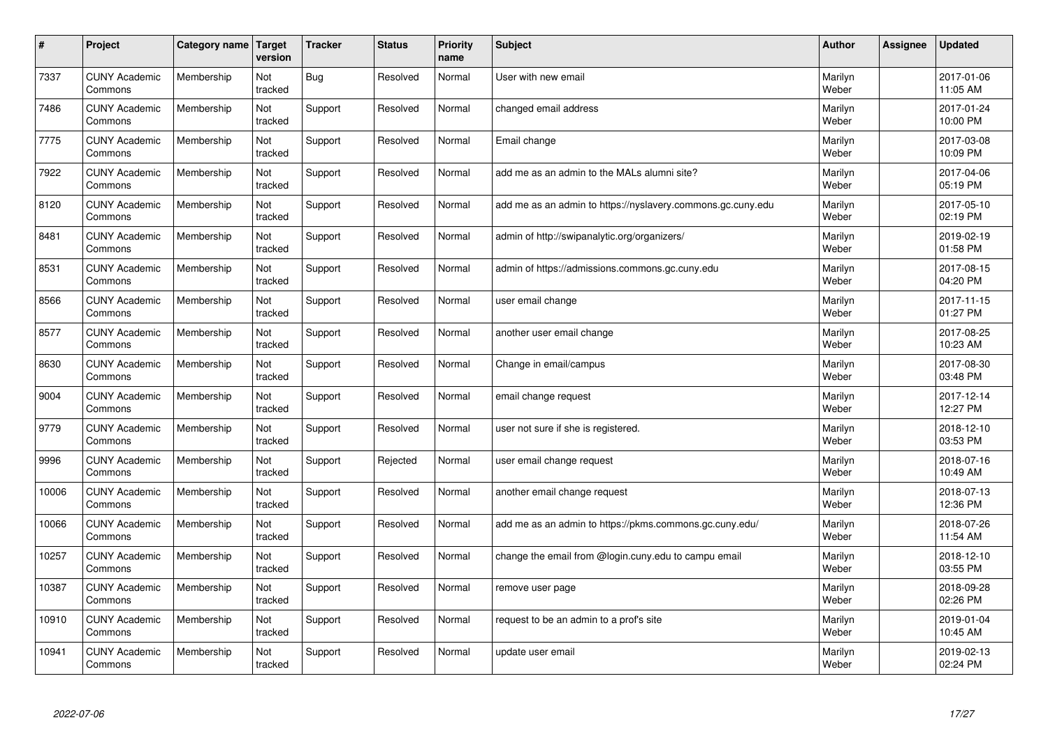| $\sharp$ | Project                         | Category name | Target<br>version | <b>Tracker</b> | <b>Status</b> | <b>Priority</b><br>name | <b>Subject</b>                                              | <b>Author</b>    | Assignee | <b>Updated</b>         |
|----------|---------------------------------|---------------|-------------------|----------------|---------------|-------------------------|-------------------------------------------------------------|------------------|----------|------------------------|
| 7337     | <b>CUNY Academic</b><br>Commons | Membership    | Not<br>tracked    | Bug            | Resolved      | Normal                  | User with new email                                         | Marilyn<br>Weber |          | 2017-01-06<br>11:05 AM |
| 7486     | <b>CUNY Academic</b><br>Commons | Membership    | Not<br>tracked    | Support        | Resolved      | Normal                  | changed email address                                       | Marilyn<br>Weber |          | 2017-01-24<br>10:00 PM |
| 7775     | <b>CUNY Academic</b><br>Commons | Membership    | Not<br>tracked    | Support        | Resolved      | Normal                  | Email change                                                | Marilyn<br>Weber |          | 2017-03-08<br>10:09 PM |
| 7922     | <b>CUNY Academic</b><br>Commons | Membership    | Not<br>tracked    | Support        | Resolved      | Normal                  | add me as an admin to the MALs alumni site?                 | Marilyn<br>Weber |          | 2017-04-06<br>05:19 PM |
| 8120     | <b>CUNY Academic</b><br>Commons | Membership    | Not<br>tracked    | Support        | Resolved      | Normal                  | add me as an admin to https://nyslavery.commons.gc.cuny.edu | Marilyn<br>Weber |          | 2017-05-10<br>02:19 PM |
| 8481     | <b>CUNY Academic</b><br>Commons | Membership    | Not<br>tracked    | Support        | Resolved      | Normal                  | admin of http://swipanalytic.org/organizers/                | Marilyn<br>Weber |          | 2019-02-19<br>01:58 PM |
| 8531     | <b>CUNY Academic</b><br>Commons | Membership    | Not<br>tracked    | Support        | Resolved      | Normal                  | admin of https://admissions.commons.gc.cuny.edu             | Marilyn<br>Weber |          | 2017-08-15<br>04:20 PM |
| 8566     | <b>CUNY Academic</b><br>Commons | Membership    | Not<br>tracked    | Support        | Resolved      | Normal                  | user email change                                           | Marilyn<br>Weber |          | 2017-11-15<br>01:27 PM |
| 8577     | <b>CUNY Academic</b><br>Commons | Membership    | Not<br>tracked    | Support        | Resolved      | Normal                  | another user email change                                   | Marilyn<br>Weber |          | 2017-08-25<br>10:23 AM |
| 8630     | <b>CUNY Academic</b><br>Commons | Membership    | Not<br>tracked    | Support        | Resolved      | Normal                  | Change in email/campus                                      | Marilyn<br>Weber |          | 2017-08-30<br>03:48 PM |
| 9004     | <b>CUNY Academic</b><br>Commons | Membership    | Not<br>tracked    | Support        | Resolved      | Normal                  | email change request                                        | Marilyn<br>Weber |          | 2017-12-14<br>12:27 PM |
| 9779     | <b>CUNY Academic</b><br>Commons | Membership    | Not<br>tracked    | Support        | Resolved      | Normal                  | user not sure if she is registered.                         | Marilyn<br>Weber |          | 2018-12-10<br>03:53 PM |
| 9996     | <b>CUNY Academic</b><br>Commons | Membership    | Not<br>tracked    | Support        | Rejected      | Normal                  | user email change request                                   | Marilyn<br>Weber |          | 2018-07-16<br>10:49 AM |
| 10006    | <b>CUNY Academic</b><br>Commons | Membership    | Not<br>tracked    | Support        | Resolved      | Normal                  | another email change request                                | Marilyn<br>Weber |          | 2018-07-13<br>12:36 PM |
| 10066    | <b>CUNY Academic</b><br>Commons | Membership    | Not<br>tracked    | Support        | Resolved      | Normal                  | add me as an admin to https://pkms.commons.gc.cuny.edu/     | Marilyn<br>Weber |          | 2018-07-26<br>11:54 AM |
| 10257    | <b>CUNY Academic</b><br>Commons | Membership    | Not<br>tracked    | Support        | Resolved      | Normal                  | change the email from @login.cuny.edu to campu email        | Marilyn<br>Weber |          | 2018-12-10<br>03:55 PM |
| 10387    | <b>CUNY Academic</b><br>Commons | Membership    | Not<br>tracked    | Support        | Resolved      | Normal                  | remove user page                                            | Marilyn<br>Weber |          | 2018-09-28<br>02:26 PM |
| 10910    | <b>CUNY Academic</b><br>Commons | Membership    | Not<br>tracked    | Support        | Resolved      | Normal                  | request to be an admin to a prof's site                     | Marilyn<br>Weber |          | 2019-01-04<br>10:45 AM |
| 10941    | <b>CUNY Academic</b><br>Commons | Membership    | Not<br>tracked    | Support        | Resolved      | Normal                  | update user email                                           | Marilyn<br>Weber |          | 2019-02-13<br>02:24 PM |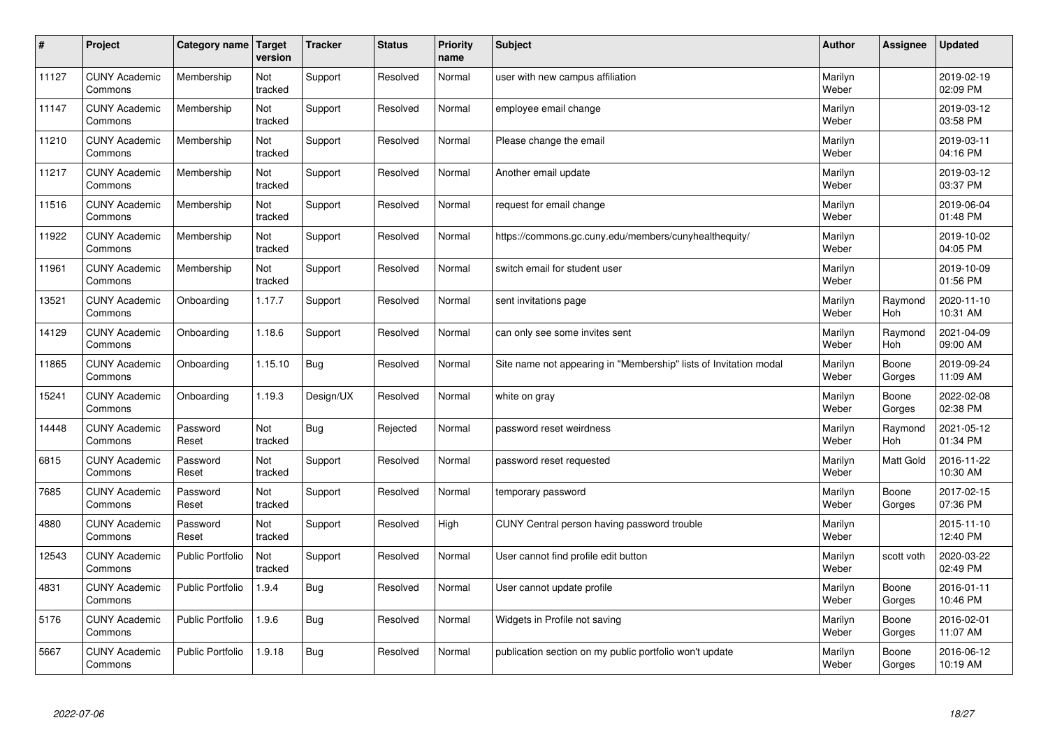| $\sharp$ | Project                         | Category name   Target  | version        | <b>Tracker</b> | <b>Status</b> | <b>Priority</b><br>name | <b>Subject</b>                                                    | <b>Author</b>    | Assignee              | <b>Updated</b>         |
|----------|---------------------------------|-------------------------|----------------|----------------|---------------|-------------------------|-------------------------------------------------------------------|------------------|-----------------------|------------------------|
| 11127    | <b>CUNY Academic</b><br>Commons | Membership              | Not<br>tracked | Support        | Resolved      | Normal                  | user with new campus affiliation                                  | Marilyn<br>Weber |                       | 2019-02-19<br>02:09 PM |
| 11147    | <b>CUNY Academic</b><br>Commons | Membership              | Not<br>tracked | Support        | Resolved      | Normal                  | employee email change                                             | Marilyn<br>Weber |                       | 2019-03-12<br>03:58 PM |
| 11210    | <b>CUNY Academic</b><br>Commons | Membership              | Not<br>tracked | Support        | Resolved      | Normal                  | Please change the email                                           | Marilyn<br>Weber |                       | 2019-03-11<br>04:16 PM |
| 11217    | <b>CUNY Academic</b><br>Commons | Membership              | Not<br>tracked | Support        | Resolved      | Normal                  | Another email update                                              | Marilyn<br>Weber |                       | 2019-03-12<br>03:37 PM |
| 11516    | <b>CUNY Academic</b><br>Commons | Membership              | Not<br>tracked | Support        | Resolved      | Normal                  | request for email change                                          | Marilyn<br>Weber |                       | 2019-06-04<br>01:48 PM |
| 11922    | <b>CUNY Academic</b><br>Commons | Membership              | Not<br>tracked | Support        | Resolved      | Normal                  | https://commons.gc.cuny.edu/members/cunyhealthequity/             | Marilyn<br>Weber |                       | 2019-10-02<br>04:05 PM |
| 11961    | <b>CUNY Academic</b><br>Commons | Membership              | Not<br>tracked | Support        | Resolved      | Normal                  | switch email for student user                                     | Marilyn<br>Weber |                       | 2019-10-09<br>01:56 PM |
| 13521    | <b>CUNY Academic</b><br>Commons | Onboarding              | 1.17.7         | Support        | Resolved      | Normal                  | sent invitations page                                             | Marilyn<br>Weber | Raymond<br><b>Hoh</b> | 2020-11-10<br>10:31 AM |
| 14129    | <b>CUNY Academic</b><br>Commons | Onboarding              | 1.18.6         | Support        | Resolved      | Normal                  | can only see some invites sent                                    | Marilyn<br>Weber | Raymond<br><b>Hoh</b> | 2021-04-09<br>09:00 AM |
| 11865    | <b>CUNY Academic</b><br>Commons | Onboarding              | 1.15.10        | Bug            | Resolved      | Normal                  | Site name not appearing in "Membership" lists of Invitation modal | Marilyn<br>Weber | Boone<br>Gorges       | 2019-09-24<br>11:09 AM |
| 15241    | <b>CUNY Academic</b><br>Commons | Onboarding              | 1.19.3         | Design/UX      | Resolved      | Normal                  | white on gray                                                     | Marilyn<br>Weber | Boone<br>Gorges       | 2022-02-08<br>02:38 PM |
| 14448    | <b>CUNY Academic</b><br>Commons | Password<br>Reset       | Not<br>tracked | Bug            | Rejected      | Normal                  | password reset weirdness                                          | Marilyn<br>Weber | Raymond<br>Hoh        | 2021-05-12<br>01:34 PM |
| 6815     | <b>CUNY Academic</b><br>Commons | Password<br>Reset       | Not<br>tracked | Support        | Resolved      | Normal                  | password reset requested                                          | Marilyn<br>Weber | <b>Matt Gold</b>      | 2016-11-22<br>10:30 AM |
| 7685     | <b>CUNY Academic</b><br>Commons | Password<br>Reset       | Not<br>tracked | Support        | Resolved      | Normal                  | temporary password                                                | Marilyn<br>Weber | Boone<br>Gorges       | 2017-02-15<br>07:36 PM |
| 4880     | <b>CUNY Academic</b><br>Commons | Password<br>Reset       | Not<br>tracked | Support        | Resolved      | High                    | CUNY Central person having password trouble                       | Marilyn<br>Weber |                       | 2015-11-10<br>12:40 PM |
| 12543    | <b>CUNY Academic</b><br>Commons | <b>Public Portfolio</b> | Not<br>tracked | Support        | Resolved      | Normal                  | User cannot find profile edit button                              | Marilyn<br>Weber | scott voth            | 2020-03-22<br>02:49 PM |
| 4831     | <b>CUNY Academic</b><br>Commons | <b>Public Portfolio</b> | 1.9.4          | Bug            | Resolved      | Normal                  | User cannot update profile                                        | Marilyn<br>Weber | Boone<br>Gorges       | 2016-01-11<br>10:46 PM |
| 5176     | <b>CUNY Academic</b><br>Commons | <b>Public Portfolio</b> | 1.9.6          | Bug            | Resolved      | Normal                  | Widgets in Profile not saving                                     | Marilyn<br>Weber | Boone<br>Gorges       | 2016-02-01<br>11:07 AM |
| 5667     | <b>CUNY Academic</b><br>Commons | <b>Public Portfolio</b> | 1.9.18         | Bug            | Resolved      | Normal                  | publication section on my public portfolio won't update           | Marilyn<br>Weber | Boone<br>Gorges       | 2016-06-12<br>10:19 AM |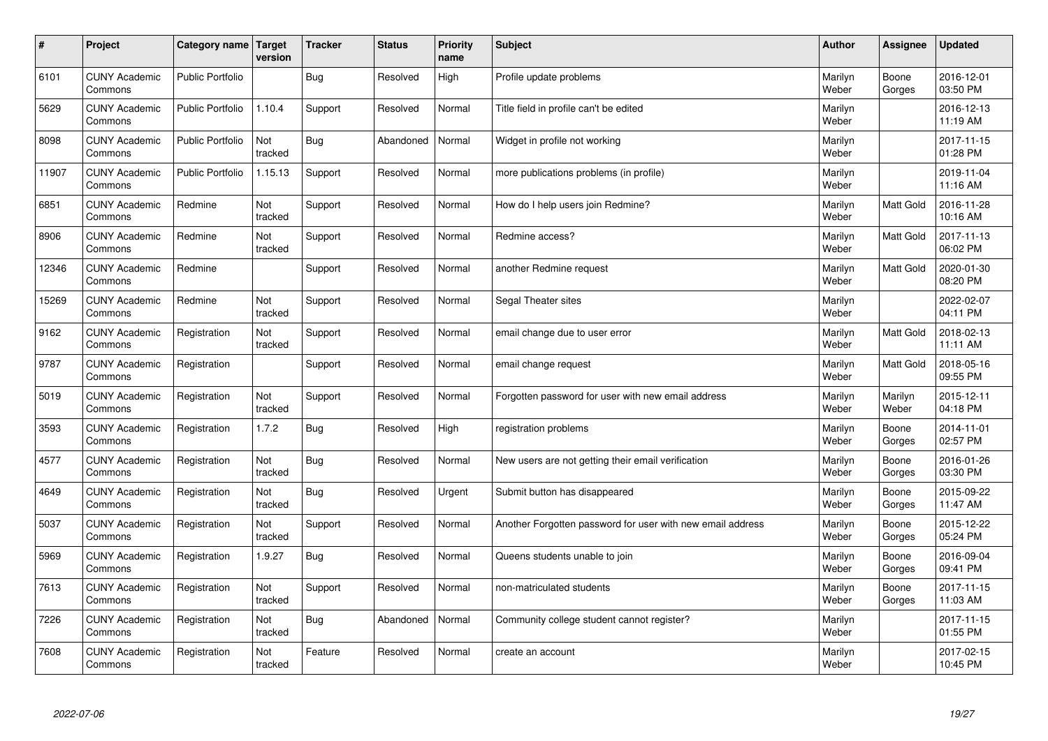| $\sharp$ | Project                         | Category name   Target  | version        | <b>Tracker</b> | <b>Status</b> | <b>Priority</b><br>name | <b>Subject</b>                                             | <b>Author</b>    | Assignee         | <b>Updated</b>         |
|----------|---------------------------------|-------------------------|----------------|----------------|---------------|-------------------------|------------------------------------------------------------|------------------|------------------|------------------------|
| 6101     | <b>CUNY Academic</b><br>Commons | <b>Public Portfolio</b> |                | Bug            | Resolved      | High                    | Profile update problems                                    | Marilyn<br>Weber | Boone<br>Gorges  | 2016-12-01<br>03:50 PM |
| 5629     | <b>CUNY Academic</b><br>Commons | <b>Public Portfolio</b> | 1.10.4         | Support        | Resolved      | Normal                  | Title field in profile can't be edited                     | Marilyn<br>Weber |                  | 2016-12-13<br>11:19 AM |
| 8098     | <b>CUNY Academic</b><br>Commons | <b>Public Portfolio</b> | Not<br>tracked | Bug            | Abandoned     | Normal                  | Widget in profile not working                              | Marilyn<br>Weber |                  | 2017-11-15<br>01:28 PM |
| 11907    | <b>CUNY Academic</b><br>Commons | <b>Public Portfolio</b> | 1.15.13        | Support        | Resolved      | Normal                  | more publications problems (in profile)                    | Marilyn<br>Weber |                  | 2019-11-04<br>11:16 AM |
| 6851     | <b>CUNY Academic</b><br>Commons | Redmine                 | Not<br>tracked | Support        | Resolved      | Normal                  | How do I help users join Redmine?                          | Marilyn<br>Weber | Matt Gold        | 2016-11-28<br>10:16 AM |
| 8906     | <b>CUNY Academic</b><br>Commons | Redmine                 | Not<br>tracked | Support        | Resolved      | Normal                  | Redmine access?                                            | Marilyn<br>Weber | Matt Gold        | 2017-11-13<br>06:02 PM |
| 12346    | <b>CUNY Academic</b><br>Commons | Redmine                 |                | Support        | Resolved      | Normal                  | another Redmine request                                    | Marilyn<br>Weber | Matt Gold        | 2020-01-30<br>08:20 PM |
| 15269    | <b>CUNY Academic</b><br>Commons | Redmine                 | Not<br>tracked | Support        | Resolved      | Normal                  | Segal Theater sites                                        | Marilyn<br>Weber |                  | 2022-02-07<br>04:11 PM |
| 9162     | <b>CUNY Academic</b><br>Commons | Registration            | Not<br>tracked | Support        | Resolved      | Normal                  | email change due to user error                             | Marilyn<br>Weber | <b>Matt Gold</b> | 2018-02-13<br>11:11 AM |
| 9787     | <b>CUNY Academic</b><br>Commons | Registration            |                | Support        | Resolved      | Normal                  | email change request                                       | Marilyn<br>Weber | <b>Matt Gold</b> | 2018-05-16<br>09:55 PM |
| 5019     | <b>CUNY Academic</b><br>Commons | Registration            | Not<br>tracked | Support        | Resolved      | Normal                  | Forgotten password for user with new email address         | Marilyn<br>Weber | Marilyn<br>Weber | 2015-12-11<br>04:18 PM |
| 3593     | <b>CUNY Academic</b><br>Commons | Registration            | 1.7.2          | Bug            | Resolved      | High                    | registration problems                                      | Marilyn<br>Weber | Boone<br>Gorges  | 2014-11-01<br>02:57 PM |
| 4577     | <b>CUNY Academic</b><br>Commons | Registration            | Not<br>tracked | Bug            | Resolved      | Normal                  | New users are not getting their email verification         | Marilyn<br>Weber | Boone<br>Gorges  | 2016-01-26<br>03:30 PM |
| 4649     | <b>CUNY Academic</b><br>Commons | Registration            | Not<br>tracked | Bug            | Resolved      | Urgent                  | Submit button has disappeared                              | Marilyn<br>Weber | Boone<br>Gorges  | 2015-09-22<br>11:47 AM |
| 5037     | <b>CUNY Academic</b><br>Commons | Registration            | Not<br>tracked | Support        | Resolved      | Normal                  | Another Forgotten password for user with new email address | Marilyn<br>Weber | Boone<br>Gorges  | 2015-12-22<br>05:24 PM |
| 5969     | <b>CUNY Academic</b><br>Commons | Registration            | 1.9.27         | Bug            | Resolved      | Normal                  | Queens students unable to join                             | Marilyn<br>Weber | Boone<br>Gorges  | 2016-09-04<br>09:41 PM |
| 7613     | <b>CUNY Academic</b><br>Commons | Registration            | Not<br>tracked | Support        | Resolved      | Normal                  | non-matriculated students                                  | Marilyn<br>Weber | Boone<br>Gorges  | 2017-11-15<br>11:03 AM |
| 7226     | <b>CUNY Academic</b><br>Commons | Registration            | Not<br>tracked | Bug            | Abandoned     | Normal                  | Community college student cannot register?                 | Marilyn<br>Weber |                  | 2017-11-15<br>01:55 PM |
| 7608     | <b>CUNY Academic</b><br>Commons | Registration            | Not<br>tracked | Feature        | Resolved      | Normal                  | create an account                                          | Marilyn<br>Weber |                  | 2017-02-15<br>10:45 PM |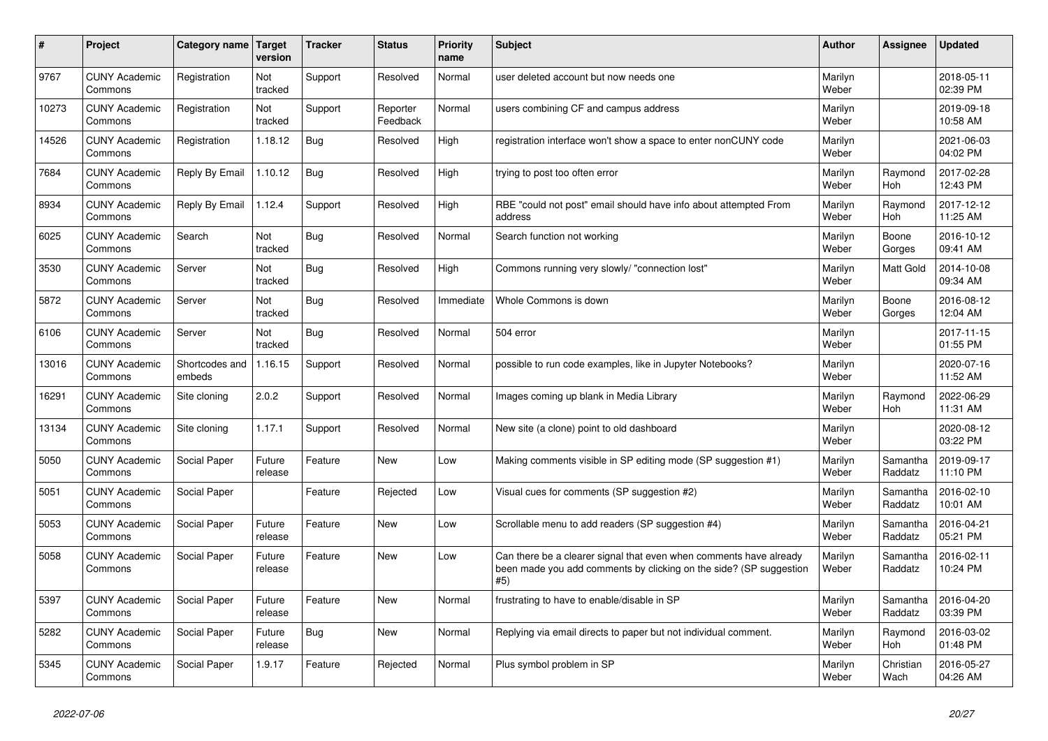| $\pmb{\sharp}$ | Project                         | Category name            | <b>Target</b><br>version | <b>Tracker</b> | <b>Status</b>        | <b>Priority</b><br>name | <b>Subject</b>                                                                                                                                  | <b>Author</b>    | <b>Assignee</b>       | <b>Updated</b>         |
|----------------|---------------------------------|--------------------------|--------------------------|----------------|----------------------|-------------------------|-------------------------------------------------------------------------------------------------------------------------------------------------|------------------|-----------------------|------------------------|
| 9767           | <b>CUNY Academic</b><br>Commons | Registration             | Not<br>tracked           | Support        | Resolved             | Normal                  | user deleted account but now needs one                                                                                                          | Marilyn<br>Weber |                       | 2018-05-11<br>02:39 PM |
| 10273          | <b>CUNY Academic</b><br>Commons | Registration             | Not<br>tracked           | Support        | Reporter<br>Feedback | Normal                  | users combining CF and campus address                                                                                                           | Marilyn<br>Weber |                       | 2019-09-18<br>10:58 AM |
| 14526          | <b>CUNY Academic</b><br>Commons | Registration             | 1.18.12                  | <b>Bug</b>     | Resolved             | High                    | registration interface won't show a space to enter nonCUNY code                                                                                 | Marilyn<br>Weber |                       | 2021-06-03<br>04:02 PM |
| 7684           | <b>CUNY Academic</b><br>Commons | Reply By Email           | 1.10.12                  | Bug            | Resolved             | High                    | trying to post too often error                                                                                                                  | Marilyn<br>Weber | Raymond<br><b>Hoh</b> | 2017-02-28<br>12:43 PM |
| 8934           | <b>CUNY Academic</b><br>Commons | Reply By Email           | 1.12.4                   | Support        | Resolved             | High                    | RBE "could not post" email should have info about attempted From<br>address                                                                     | Marilyn<br>Weber | Raymond<br>Hoh        | 2017-12-12<br>11:25 AM |
| 6025           | <b>CUNY Academic</b><br>Commons | Search                   | Not<br>tracked           | <b>Bug</b>     | Resolved             | Normal                  | Search function not working                                                                                                                     | Marilyn<br>Weber | Boone<br>Gorges       | 2016-10-12<br>09:41 AM |
| 3530           | <b>CUNY Academic</b><br>Commons | Server                   | Not<br>tracked           | <b>Bug</b>     | Resolved             | High                    | Commons running very slowly/ "connection lost"                                                                                                  | Marilyn<br>Weber | <b>Matt Gold</b>      | 2014-10-08<br>09:34 AM |
| 5872           | <b>CUNY Academic</b><br>Commons | Server                   | Not<br>tracked           | <b>Bug</b>     | Resolved             | Immediate               | Whole Commons is down                                                                                                                           | Marilyn<br>Weber | Boone<br>Gorges       | 2016-08-12<br>12:04 AM |
| 6106           | <b>CUNY Academic</b><br>Commons | Server                   | Not<br>tracked           | Bug            | Resolved             | Normal                  | 504 error                                                                                                                                       | Marilyn<br>Weber |                       | 2017-11-15<br>01:55 PM |
| 13016          | <b>CUNY Academic</b><br>Commons | Shortcodes and<br>embeds | 1.16.15                  | Support        | Resolved             | Normal                  | possible to run code examples, like in Jupyter Notebooks?                                                                                       | Marilyn<br>Weber |                       | 2020-07-16<br>11:52 AM |
| 16291          | <b>CUNY Academic</b><br>Commons | Site cloning             | 2.0.2                    | Support        | Resolved             | Normal                  | Images coming up blank in Media Library                                                                                                         | Marilyn<br>Weber | Raymond<br>Hoh        | 2022-06-29<br>11:31 AM |
| 13134          | <b>CUNY Academic</b><br>Commons | Site cloning             | 1.17.1                   | Support        | Resolved             | Normal                  | New site (a clone) point to old dashboard                                                                                                       | Marilyn<br>Weber |                       | 2020-08-12<br>03:22 PM |
| 5050           | <b>CUNY Academic</b><br>Commons | Social Paper             | Future<br>release        | Feature        | <b>New</b>           | Low                     | Making comments visible in SP editing mode (SP suggestion #1)                                                                                   | Marilyn<br>Weber | Samantha<br>Raddatz   | 2019-09-17<br>11:10 PM |
| 5051           | <b>CUNY Academic</b><br>Commons | Social Paper             |                          | Feature        | Rejected             | Low                     | Visual cues for comments (SP suggestion #2)                                                                                                     | Marilyn<br>Weber | Samantha<br>Raddatz   | 2016-02-10<br>10:01 AM |
| 5053           | <b>CUNY Academic</b><br>Commons | Social Paper             | Future<br>release        | Feature        | <b>New</b>           | Low                     | Scrollable menu to add readers (SP suggestion #4)                                                                                               | Marilyn<br>Weber | Samantha<br>Raddatz   | 2016-04-21<br>05:21 PM |
| 5058           | <b>CUNY Academic</b><br>Commons | Social Paper             | Future<br>release        | Feature        | <b>New</b>           | Low                     | Can there be a clearer signal that even when comments have already<br>been made you add comments by clicking on the side? (SP suggestion<br>#5) | Marilyn<br>Weber | Samantha<br>Raddatz   | 2016-02-11<br>10:24 PM |
| 5397           | <b>CUNY Academic</b><br>Commons | Social Paper             | Future<br>release        | Feature        | <b>New</b>           | Normal                  | frustrating to have to enable/disable in SP                                                                                                     | Marilyn<br>Weber | Samantha<br>Raddatz   | 2016-04-20<br>03:39 PM |
| 5282           | <b>CUNY Academic</b><br>Commons | Social Paper             | Future<br>release        | Bug            | <b>New</b>           | Normal                  | Replying via email directs to paper but not individual comment.                                                                                 | Marilyn<br>Weber | Raymond<br>Hoh        | 2016-03-02<br>01:48 PM |
| 5345           | <b>CUNY Academic</b><br>Commons | Social Paper             | 1.9.17                   | Feature        | Rejected             | Normal                  | Plus symbol problem in SP                                                                                                                       | Marilyn<br>Weber | Christian<br>Wach     | 2016-05-27<br>04:26 AM |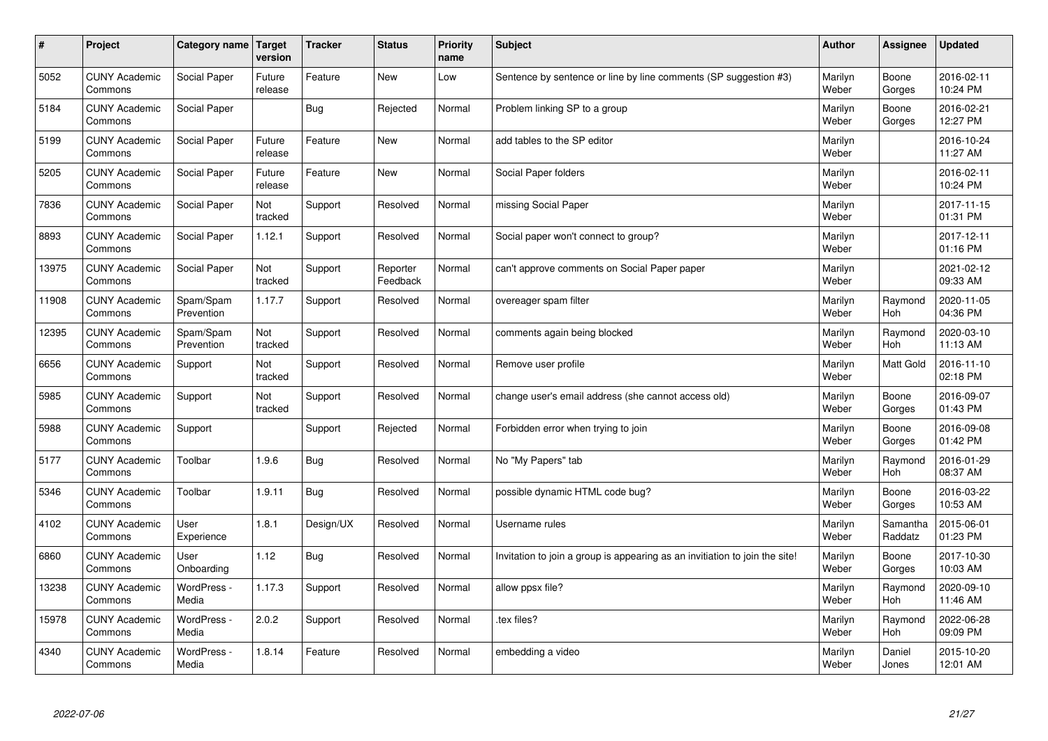| $\sharp$ | Project                         | Category name   Target  | version           | <b>Tracker</b> | <b>Status</b>        | <b>Priority</b><br>name | <b>Subject</b>                                                              | <b>Author</b>    | <b>Assignee</b>       | <b>Updated</b>         |
|----------|---------------------------------|-------------------------|-------------------|----------------|----------------------|-------------------------|-----------------------------------------------------------------------------|------------------|-----------------------|------------------------|
| 5052     | <b>CUNY Academic</b><br>Commons | Social Paper            | Future<br>release | Feature        | <b>New</b>           | Low                     | Sentence by sentence or line by line comments (SP suggestion #3)            | Marilyn<br>Weber | Boone<br>Gorges       | 2016-02-11<br>10:24 PM |
| 5184     | <b>CUNY Academic</b><br>Commons | Social Paper            |                   | Bug            | Rejected             | Normal                  | Problem linking SP to a group                                               | Marilyn<br>Weber | Boone<br>Gorges       | 2016-02-21<br>12:27 PM |
| 5199     | <b>CUNY Academic</b><br>Commons | Social Paper            | Future<br>release | Feature        | New                  | Normal                  | add tables to the SP editor                                                 | Marilyn<br>Weber |                       | 2016-10-24<br>11:27 AM |
| 5205     | <b>CUNY Academic</b><br>Commons | Social Paper            | Future<br>release | Feature        | <b>New</b>           | Normal                  | Social Paper folders                                                        | Marilyn<br>Weber |                       | 2016-02-11<br>10:24 PM |
| 7836     | <b>CUNY Academic</b><br>Commons | Social Paper            | Not<br>tracked    | Support        | Resolved             | Normal                  | missing Social Paper                                                        | Marilyn<br>Weber |                       | 2017-11-15<br>01:31 PM |
| 8893     | <b>CUNY Academic</b><br>Commons | Social Paper            | 1.12.1            | Support        | Resolved             | Normal                  | Social paper won't connect to group?                                        | Marilyn<br>Weber |                       | 2017-12-11<br>01:16 PM |
| 13975    | <b>CUNY Academic</b><br>Commons | Social Paper            | Not<br>tracked    | Support        | Reporter<br>Feedback | Normal                  | can't approve comments on Social Paper paper                                | Marilyn<br>Weber |                       | 2021-02-12<br>09:33 AM |
| 11908    | <b>CUNY Academic</b><br>Commons | Spam/Spam<br>Prevention | 1.17.7            | Support        | Resolved             | Normal                  | overeager spam filter                                                       | Marilyn<br>Weber | Raymond<br>Hoh        | 2020-11-05<br>04:36 PM |
| 12395    | <b>CUNY Academic</b><br>Commons | Spam/Spam<br>Prevention | Not<br>tracked    | Support        | Resolved             | Normal                  | comments again being blocked                                                | Marilyn<br>Weber | Raymond<br>Hoh        | 2020-03-10<br>11:13 AM |
| 6656     | <b>CUNY Academic</b><br>Commons | Support                 | Not<br>tracked    | Support        | Resolved             | Normal                  | Remove user profile                                                         | Marilyn<br>Weber | <b>Matt Gold</b>      | 2016-11-10<br>02:18 PM |
| 5985     | <b>CUNY Academic</b><br>Commons | Support                 | Not<br>tracked    | Support        | Resolved             | Normal                  | change user's email address (she cannot access old)                         | Marilyn<br>Weber | Boone<br>Gorges       | 2016-09-07<br>01:43 PM |
| 5988     | <b>CUNY Academic</b><br>Commons | Support                 |                   | Support        | Rejected             | Normal                  | Forbidden error when trying to join                                         | Marilyn<br>Weber | Boone<br>Gorges       | 2016-09-08<br>01:42 PM |
| 5177     | <b>CUNY Academic</b><br>Commons | Toolbar                 | 1.9.6             | Bug            | Resolved             | Normal                  | No "My Papers" tab                                                          | Marilyn<br>Weber | Raymond<br><b>Hoh</b> | 2016-01-29<br>08:37 AM |
| 5346     | <b>CUNY Academic</b><br>Commons | Toolbar                 | 1.9.11            | Bug            | Resolved             | Normal                  | possible dynamic HTML code bug?                                             | Marilyn<br>Weber | Boone<br>Gorges       | 2016-03-22<br>10:53 AM |
| 4102     | <b>CUNY Academic</b><br>Commons | User<br>Experience      | 1.8.1             | Design/UX      | Resolved             | Normal                  | Username rules                                                              | Marilyn<br>Weber | Samantha<br>Raddatz   | 2015-06-01<br>01:23 PM |
| 6860     | <b>CUNY Academic</b><br>Commons | User<br>Onboarding      | 1.12              | Bug            | Resolved             | Normal                  | Invitation to join a group is appearing as an invitiation to join the site! | Marilyn<br>Weber | Boone<br>Gorges       | 2017-10-30<br>10:03 AM |
| 13238    | <b>CUNY Academic</b><br>Commons | WordPress -<br>Media    | 1.17.3            | Support        | Resolved             | Normal                  | allow ppsx file?                                                            | Marilyn<br>Weber | Raymond<br>Hoh        | 2020-09-10<br>11:46 AM |
| 15978    | <b>CUNY Academic</b><br>Commons | WordPress -<br>Media    | 2.0.2             | Support        | Resolved             | Normal                  | tex files?                                                                  | Marilyn<br>Weber | Raymond<br>Hoh        | 2022-06-28<br>09:09 PM |
| 4340     | <b>CUNY Academic</b><br>Commons | WordPress -<br>Media    | 1.8.14            | Feature        | Resolved             | Normal                  | embedding a video                                                           | Marilyn<br>Weber | Daniel<br>Jones       | 2015-10-20<br>12:01 AM |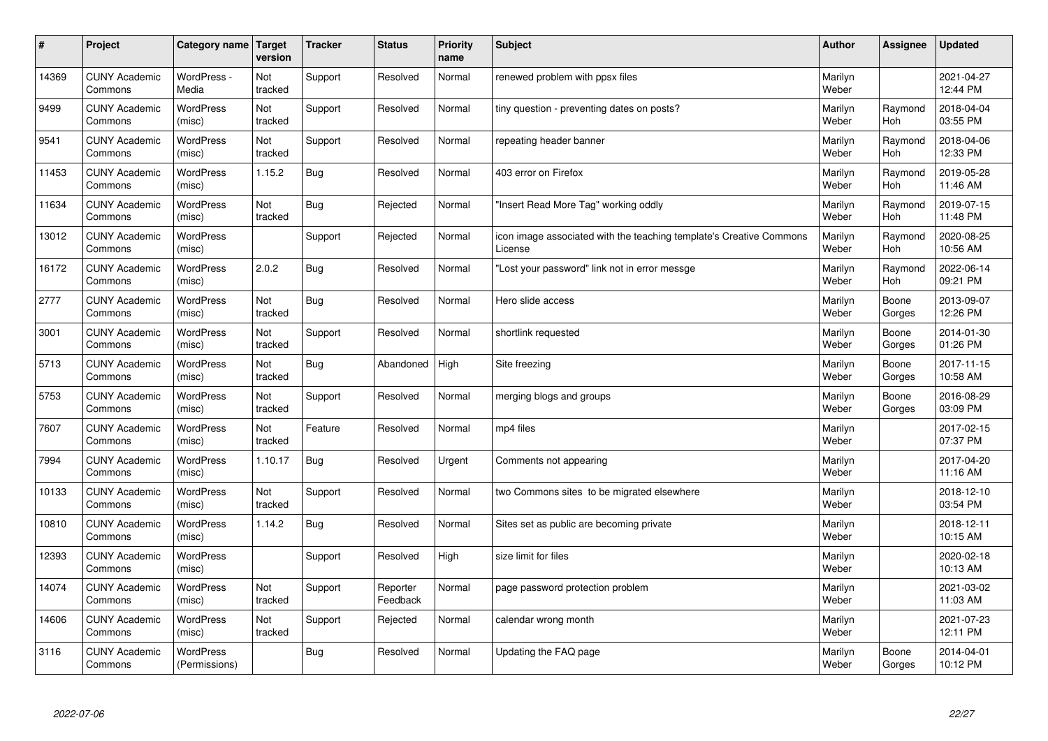| $\sharp$ | Project                         | Category name   Target            | version        | <b>Tracker</b> | <b>Status</b>        | <b>Priority</b><br>name | <b>Subject</b>                                                                 | <b>Author</b>    | Assignee              | <b>Updated</b>         |
|----------|---------------------------------|-----------------------------------|----------------|----------------|----------------------|-------------------------|--------------------------------------------------------------------------------|------------------|-----------------------|------------------------|
| 14369    | <b>CUNY Academic</b><br>Commons | WordPress -<br>Media              | Not<br>tracked | Support        | Resolved             | Normal                  | renewed problem with ppsx files                                                | Marilyn<br>Weber |                       | 2021-04-27<br>12:44 PM |
| 9499     | <b>CUNY Academic</b><br>Commons | <b>WordPress</b><br>(misc)        | Not<br>tracked | Support        | Resolved             | Normal                  | tiny question - preventing dates on posts?                                     | Marilyn<br>Weber | Raymond<br>Hoh        | 2018-04-04<br>03:55 PM |
| 9541     | <b>CUNY Academic</b><br>Commons | <b>WordPress</b><br>(misc)        | Not<br>tracked | Support        | Resolved             | Normal                  | repeating header banner                                                        | Marilyn<br>Weber | Raymond<br><b>Hoh</b> | 2018-04-06<br>12:33 PM |
| 11453    | <b>CUNY Academic</b><br>Commons | <b>WordPress</b><br>(misc)        | 1.15.2         | Bug            | Resolved             | Normal                  | 403 error on Firefox                                                           | Marilyn<br>Weber | Raymond<br><b>Hoh</b> | 2019-05-28<br>11:46 AM |
| 11634    | <b>CUNY Academic</b><br>Commons | <b>WordPress</b><br>(misc)        | Not<br>tracked | Bug            | Rejected             | Normal                  | "Insert Read More Tag" working oddly                                           | Marilyn<br>Weber | Raymond<br>Hoh        | 2019-07-15<br>11:48 PM |
| 13012    | <b>CUNY Academic</b><br>Commons | WordPress<br>(misc)               |                | Support        | Rejected             | Normal                  | icon image associated with the teaching template's Creative Commons<br>License | Marilyn<br>Weber | Raymond<br>Hoh        | 2020-08-25<br>10:56 AM |
| 16172    | <b>CUNY Academic</b><br>Commons | <b>WordPress</b><br>(misc)        | 2.0.2          | Bug            | Resolved             | Normal                  | 'Lost your password" link not in error messge                                  | Marilyn<br>Weber | Raymond<br>Hoh        | 2022-06-14<br>09:21 PM |
| 2777     | <b>CUNY Academic</b><br>Commons | <b>WordPress</b><br>(misc)        | Not<br>tracked | Bug            | Resolved             | Normal                  | Hero slide access                                                              | Marilyn<br>Weber | Boone<br>Gorges       | 2013-09-07<br>12:26 PM |
| 3001     | <b>CUNY Academic</b><br>Commons | <b>WordPress</b><br>(misc)        | Not<br>tracked | Support        | Resolved             | Normal                  | shortlink requested                                                            | Marilyn<br>Weber | Boone<br>Gorges       | 2014-01-30<br>01:26 PM |
| 5713     | <b>CUNY Academic</b><br>Commons | WordPress<br>(misc)               | Not<br>tracked | Bug            | Abandoned            | High                    | Site freezing                                                                  | Marilyn<br>Weber | Boone<br>Gorges       | 2017-11-15<br>10:58 AM |
| 5753     | <b>CUNY Academic</b><br>Commons | WordPress<br>(misc)               | Not<br>tracked | Support        | Resolved             | Normal                  | merging blogs and groups                                                       | Marilyn<br>Weber | Boone<br>Gorges       | 2016-08-29<br>03:09 PM |
| 7607     | <b>CUNY Academic</b><br>Commons | <b>WordPress</b><br>(misc)        | Not<br>tracked | Feature        | Resolved             | Normal                  | mp4 files                                                                      | Marilyn<br>Weber |                       | 2017-02-15<br>07:37 PM |
| 7994     | <b>CUNY Academic</b><br>Commons | WordPress<br>(misc)               | 1.10.17        | Bug            | Resolved             | Urgent                  | Comments not appearing                                                         | Marilyn<br>Weber |                       | 2017-04-20<br>11:16 AM |
| 10133    | <b>CUNY Academic</b><br>Commons | WordPress<br>(misc)               | Not<br>tracked | Support        | Resolved             | Normal                  | two Commons sites to be migrated elsewhere                                     | Marilyn<br>Weber |                       | 2018-12-10<br>03:54 PM |
| 10810    | <b>CUNY Academic</b><br>Commons | <b>WordPress</b><br>(misc)        | 1.14.2         | Bug            | Resolved             | Normal                  | Sites set as public are becoming private                                       | Marilyn<br>Weber |                       | 2018-12-11<br>10:15 AM |
| 12393    | <b>CUNY Academic</b><br>Commons | <b>WordPress</b><br>(misc)        |                | Support        | Resolved             | High                    | size limit for files                                                           | Marilyn<br>Weber |                       | 2020-02-18<br>10:13 AM |
| 14074    | <b>CUNY Academic</b><br>Commons | WordPress<br>(misc)               | Not<br>tracked | Support        | Reporter<br>Feedback | Normal                  | page password protection problem                                               | Marilyn<br>Weber |                       | 2021-03-02<br>11:03 AM |
| 14606    | <b>CUNY Academic</b><br>Commons | WordPress<br>(misc)               | Not<br>tracked | Support        | Rejected             | Normal                  | calendar wrong month                                                           | Marilyn<br>Weber |                       | 2021-07-23<br>12:11 PM |
| 3116     | <b>CUNY Academic</b><br>Commons | <b>WordPress</b><br>(Permissions) |                | Bug            | Resolved             | Normal                  | Updating the FAQ page                                                          | Marilyn<br>Weber | Boone<br>Gorges       | 2014-04-01<br>10:12 PM |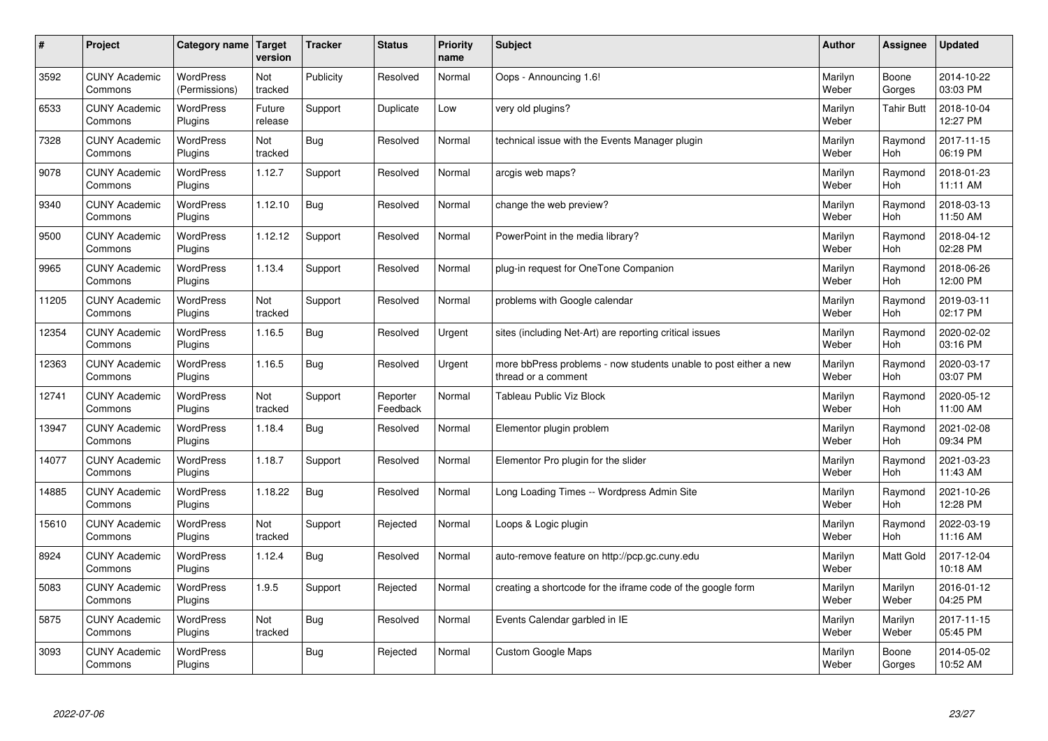| $\sharp$ | Project                         | Category name   Target            | version           | <b>Tracker</b> | <b>Status</b>        | <b>Priority</b><br>name | <b>Subject</b>                                                                          | <b>Author</b>    | Assignee          | <b>Updated</b>         |
|----------|---------------------------------|-----------------------------------|-------------------|----------------|----------------------|-------------------------|-----------------------------------------------------------------------------------------|------------------|-------------------|------------------------|
| 3592     | <b>CUNY Academic</b><br>Commons | <b>WordPress</b><br>(Permissions) | Not<br>tracked    | Publicity      | Resolved             | Normal                  | Oops - Announcing 1.6!                                                                  | Marilyn<br>Weber | Boone<br>Gorges   | 2014-10-22<br>03:03 PM |
| 6533     | <b>CUNY Academic</b><br>Commons | <b>WordPress</b><br>Plugins       | Future<br>release | Support        | Duplicate            | Low                     | very old plugins?                                                                       | Marilyn<br>Weber | <b>Tahir Butt</b> | 2018-10-04<br>12:27 PM |
| 7328     | <b>CUNY Academic</b><br>Commons | <b>WordPress</b><br>Plugins       | Not<br>tracked    | <b>Bug</b>     | Resolved             | Normal                  | technical issue with the Events Manager plugin                                          | Marilyn<br>Weber | Raymond<br>Hoh    | 2017-11-15<br>06:19 PM |
| 9078     | <b>CUNY Academic</b><br>Commons | <b>WordPress</b><br>Plugins       | 1.12.7            | Support        | Resolved             | Normal                  | arcgis web maps?                                                                        | Marilyn<br>Weber | Raymond<br>Hoh    | 2018-01-23<br>11:11 AM |
| 9340     | <b>CUNY Academic</b><br>Commons | <b>WordPress</b><br>Plugins       | 1.12.10           | <b>Bug</b>     | Resolved             | Normal                  | change the web preview?                                                                 | Marilyn<br>Weber | Raymond<br>Hoh    | 2018-03-13<br>11:50 AM |
| 9500     | <b>CUNY Academic</b><br>Commons | WordPress<br>Plugins              | 1.12.12           | Support        | Resolved             | Normal                  | PowerPoint in the media library?                                                        | Marilyn<br>Weber | Raymond<br>Hoh    | 2018-04-12<br>02:28 PM |
| 9965     | <b>CUNY Academic</b><br>Commons | WordPress<br>Plugins              | 1.13.4            | Support        | Resolved             | Normal                  | plug-in request for OneTone Companion                                                   | Marilyn<br>Weber | Raymond<br>Hoh    | 2018-06-26<br>12:00 PM |
| 11205    | <b>CUNY Academic</b><br>Commons | <b>WordPress</b><br>Plugins       | Not<br>tracked    | Support        | Resolved             | Normal                  | problems with Google calendar                                                           | Marilyn<br>Weber | Raymond<br>Hoh    | 2019-03-11<br>02:17 PM |
| 12354    | <b>CUNY Academic</b><br>Commons | <b>WordPress</b><br>Plugins       | 1.16.5            | Bug            | Resolved             | Urgent                  | sites (including Net-Art) are reporting critical issues                                 | Marilyn<br>Weber | Raymond<br>Hoh    | 2020-02-02<br>03:16 PM |
| 12363    | <b>CUNY Academic</b><br>Commons | WordPress<br>Plugins              | 1.16.5            | Bug            | Resolved             | Urgent                  | more bbPress problems - now students unable to post either a new<br>thread or a comment | Marilyn<br>Weber | Raymond<br>Hoh    | 2020-03-17<br>03:07 PM |
| 12741    | <b>CUNY Academic</b><br>Commons | <b>WordPress</b><br>Plugins       | Not<br>tracked    | Support        | Reporter<br>Feedback | Normal                  | Tableau Public Viz Block                                                                | Marilyn<br>Weber | Raymond<br>Hoh    | 2020-05-12<br>11:00 AM |
| 13947    | <b>CUNY Academic</b><br>Commons | <b>WordPress</b><br>Plugins       | 1.18.4            | Bug            | Resolved             | Normal                  | Elementor plugin problem                                                                | Marilyn<br>Weber | Raymond<br>Hoh    | 2021-02-08<br>09:34 PM |
| 14077    | <b>CUNY Academic</b><br>Commons | <b>WordPress</b><br>Plugins       | 1.18.7            | Support        | Resolved             | Normal                  | Elementor Pro plugin for the slider                                                     | Marilyn<br>Weber | Raymond<br>Hoh    | 2021-03-23<br>11:43 AM |
| 14885    | <b>CUNY Academic</b><br>Commons | WordPress<br>Plugins              | 1.18.22           | <b>Bug</b>     | Resolved             | Normal                  | Long Loading Times -- Wordpress Admin Site                                              | Marilyn<br>Weber | Raymond<br>Hoh    | 2021-10-26<br>12:28 PM |
| 15610    | <b>CUNY Academic</b><br>Commons | <b>WordPress</b><br>Plugins       | Not<br>tracked    | Support        | Rejected             | Normal                  | Loops & Logic plugin                                                                    | Marilyn<br>Weber | Raymond<br>Hoh    | 2022-03-19<br>11:16 AM |
| 8924     | <b>CUNY Academic</b><br>Commons | WordPress<br>Plugins              | 1.12.4            | <b>Bug</b>     | Resolved             | Normal                  | auto-remove feature on http://pcp.gc.cuny.edu                                           | Marilyn<br>Weber | Matt Gold         | 2017-12-04<br>10:18 AM |
| 5083     | <b>CUNY Academic</b><br>Commons | WordPress<br>Plugins              | 1.9.5             | Support        | Rejected             | Normal                  | creating a shortcode for the iframe code of the google form                             | Marilyn<br>Weber | Marilyn<br>Weber  | 2016-01-12<br>04:25 PM |
| 5875     | <b>CUNY Academic</b><br>Commons | WordPress<br>Plugins              | Not<br>tracked    | <b>Bug</b>     | Resolved             | Normal                  | Events Calendar garbled in IE                                                           | Marilyn<br>Weber | Marilyn<br>Weber  | 2017-11-15<br>05:45 PM |
| 3093     | <b>CUNY Academic</b><br>Commons | <b>WordPress</b><br>Plugins       |                   | Bug            | Rejected             | Normal                  | <b>Custom Google Maps</b>                                                               | Marilyn<br>Weber | Boone<br>Gorges   | 2014-05-02<br>10:52 AM |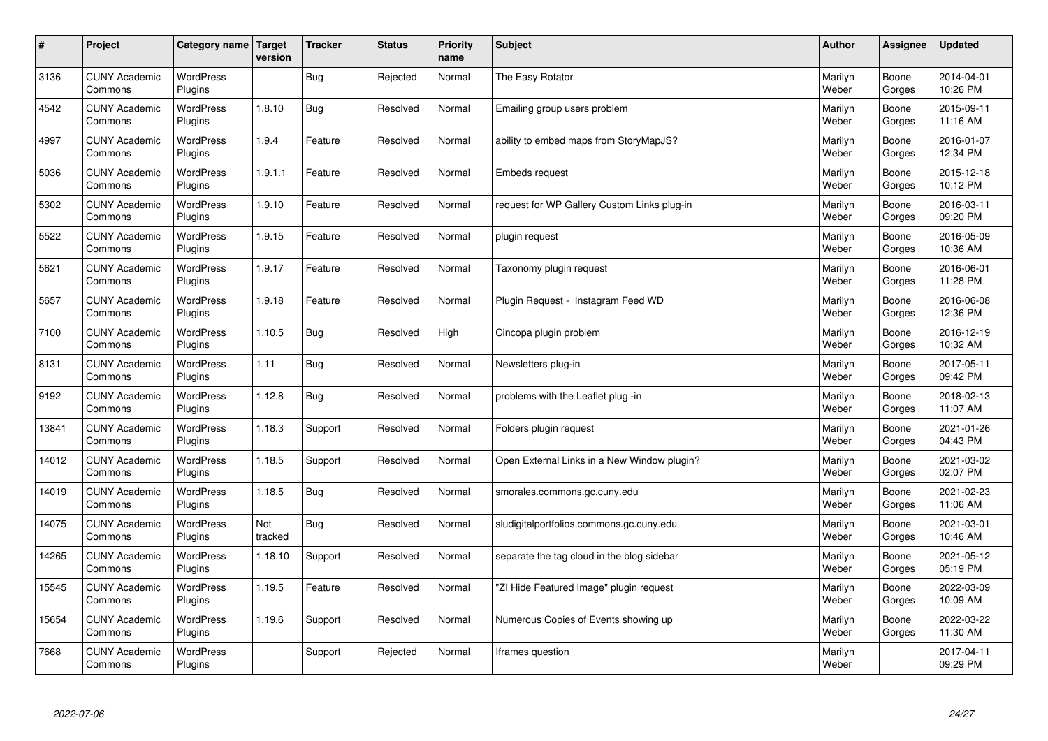| $\sharp$ | Project                         | Category name   Target      | version        | <b>Tracker</b> | <b>Status</b> | <b>Priority</b><br>name | <b>Subject</b>                              | <b>Author</b>    | Assignee        | <b>Updated</b>         |
|----------|---------------------------------|-----------------------------|----------------|----------------|---------------|-------------------------|---------------------------------------------|------------------|-----------------|------------------------|
| 3136     | <b>CUNY Academic</b><br>Commons | <b>WordPress</b><br>Plugins |                | Bug            | Rejected      | Normal                  | The Easy Rotator                            | Marilyn<br>Weber | Boone<br>Gorges | 2014-04-01<br>10:26 PM |
| 4542     | <b>CUNY Academic</b><br>Commons | <b>WordPress</b><br>Plugins | 1.8.10         | Bug            | Resolved      | Normal                  | Emailing group users problem                | Marilyn<br>Weber | Boone<br>Gorges | 2015-09-11<br>11:16 AM |
| 4997     | <b>CUNY Academic</b><br>Commons | <b>WordPress</b><br>Plugins | 1.9.4          | Feature        | Resolved      | Normal                  | ability to embed maps from StoryMapJS?      | Marilyn<br>Weber | Boone<br>Gorges | 2016-01-07<br>12:34 PM |
| 5036     | <b>CUNY Academic</b><br>Commons | <b>WordPress</b><br>Plugins | 1.9.1.1        | Feature        | Resolved      | Normal                  | <b>Embeds request</b>                       | Marilyn<br>Weber | Boone<br>Gorges | 2015-12-18<br>10:12 PM |
| 5302     | <b>CUNY Academic</b><br>Commons | <b>WordPress</b><br>Plugins | 1.9.10         | Feature        | Resolved      | Normal                  | request for WP Gallery Custom Links plug-in | Marilyn<br>Weber | Boone<br>Gorges | 2016-03-11<br>09:20 PM |
| 5522     | <b>CUNY Academic</b><br>Commons | WordPress<br>Plugins        | 1.9.15         | Feature        | Resolved      | Normal                  | plugin request                              | Marilyn<br>Weber | Boone<br>Gorges | 2016-05-09<br>10:36 AM |
| 5621     | <b>CUNY Academic</b><br>Commons | WordPress<br>Plugins        | 1.9.17         | Feature        | Resolved      | Normal                  | Taxonomy plugin request                     | Marilyn<br>Weber | Boone<br>Gorges | 2016-06-01<br>11:28 PM |
| 5657     | <b>CUNY Academic</b><br>Commons | WordPress<br>Plugins        | 1.9.18         | Feature        | Resolved      | Normal                  | Plugin Reguest - Instagram Feed WD          | Marilyn<br>Weber | Boone<br>Gorges | 2016-06-08<br>12:36 PM |
| 7100     | <b>CUNY Academic</b><br>Commons | <b>WordPress</b><br>Plugins | 1.10.5         | Bug            | Resolved      | High                    | Cincopa plugin problem                      | Marilyn<br>Weber | Boone<br>Gorges | 2016-12-19<br>10:32 AM |
| 8131     | <b>CUNY Academic</b><br>Commons | WordPress<br>Plugins        | 1.11           | Bug            | Resolved      | Normal                  | Newsletters plug-in                         | Marilyn<br>Weber | Boone<br>Gorges | 2017-05-11<br>09:42 PM |
| 9192     | <b>CUNY Academic</b><br>Commons | WordPress<br>Plugins        | 1.12.8         | Bug            | Resolved      | Normal                  | problems with the Leaflet plug -in          | Marilyn<br>Weber | Boone<br>Gorges | 2018-02-13<br>11:07 AM |
| 13841    | <b>CUNY Academic</b><br>Commons | <b>WordPress</b><br>Plugins | 1.18.3         | Support        | Resolved      | Normal                  | Folders plugin request                      | Marilyn<br>Weber | Boone<br>Gorges | 2021-01-26<br>04:43 PM |
| 14012    | <b>CUNY Academic</b><br>Commons | <b>WordPress</b><br>Plugins | 1.18.5         | Support        | Resolved      | Normal                  | Open External Links in a New Window plugin? | Marilyn<br>Weber | Boone<br>Gorges | 2021-03-02<br>02:07 PM |
| 14019    | <b>CUNY Academic</b><br>Commons | WordPress<br>Plugins        | 1.18.5         | <b>Bug</b>     | Resolved      | Normal                  | smorales.commons.gc.cuny.edu                | Marilyn<br>Weber | Boone<br>Gorges | 2021-02-23<br>11:06 AM |
| 14075    | <b>CUNY Academic</b><br>Commons | <b>WordPress</b><br>Plugins | Not<br>tracked | Bug            | Resolved      | Normal                  | sludigitalportfolios.commons.gc.cuny.edu    | Marilyn<br>Weber | Boone<br>Gorges | 2021-03-01<br>10:46 AM |
| 14265    | <b>CUNY Academic</b><br>Commons | WordPress<br>Plugins        | 1.18.10        | Support        | Resolved      | Normal                  | separate the tag cloud in the blog sidebar  | Marilyn<br>Weber | Boone<br>Gorges | 2021-05-12<br>05:19 PM |
| 15545    | <b>CUNY Academic</b><br>Commons | WordPress<br>Plugins        | 1.19.5         | Feature        | Resolved      | Normal                  | 'ZI Hide Featured Image" plugin request     | Marilyn<br>Weber | Boone<br>Gorges | 2022-03-09<br>10:09 AM |
| 15654    | <b>CUNY Academic</b><br>Commons | WordPress<br>Plugins        | 1.19.6         | Support        | Resolved      | Normal                  | Numerous Copies of Events showing up        | Marilyn<br>Weber | Boone<br>Gorges | 2022-03-22<br>11:30 AM |
| 7668     | <b>CUNY Academic</b><br>Commons | <b>WordPress</b><br>Plugins |                | Support        | Rejected      | Normal                  | Iframes question                            | Marilyn<br>Weber |                 | 2017-04-11<br>09:29 PM |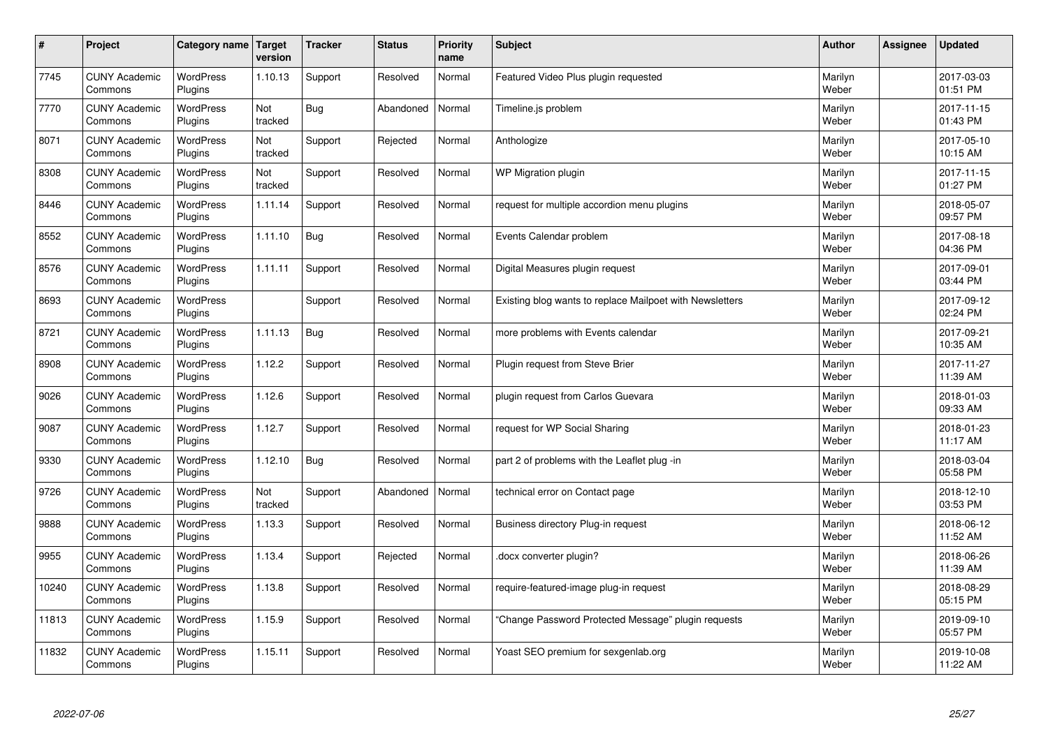| $\sharp$ | Project                         | Category name               | Target<br>version | <b>Tracker</b> | <b>Status</b> | <b>Priority</b><br>name | <b>Subject</b>                                           | <b>Author</b>    | Assignee | <b>Updated</b>         |
|----------|---------------------------------|-----------------------------|-------------------|----------------|---------------|-------------------------|----------------------------------------------------------|------------------|----------|------------------------|
| 7745     | <b>CUNY Academic</b><br>Commons | <b>WordPress</b><br>Plugins | 1.10.13           | Support        | Resolved      | Normal                  | Featured Video Plus plugin requested                     | Marilyn<br>Weber |          | 2017-03-03<br>01:51 PM |
| 7770     | <b>CUNY Academic</b><br>Commons | <b>WordPress</b><br>Plugins | Not<br>tracked    | Bug            | Abandoned     | Normal                  | Timeline.js problem                                      | Marilyn<br>Weber |          | 2017-11-15<br>01:43 PM |
| 8071     | <b>CUNY Academic</b><br>Commons | <b>WordPress</b><br>Plugins | Not<br>tracked    | Support        | Rejected      | Normal                  | Anthologize                                              | Marilyn<br>Weber |          | 2017-05-10<br>10:15 AM |
| 8308     | <b>CUNY Academic</b><br>Commons | <b>WordPress</b><br>Plugins | Not<br>tracked    | Support        | Resolved      | Normal                  | WP Migration plugin                                      | Marilyn<br>Weber |          | 2017-11-15<br>01:27 PM |
| 8446     | <b>CUNY Academic</b><br>Commons | <b>WordPress</b><br>Plugins | 1.11.14           | Support        | Resolved      | Normal                  | request for multiple accordion menu plugins              | Marilyn<br>Weber |          | 2018-05-07<br>09:57 PM |
| 8552     | <b>CUNY Academic</b><br>Commons | <b>WordPress</b><br>Plugins | 1.11.10           | <b>Bug</b>     | Resolved      | Normal                  | Events Calendar problem                                  | Marilyn<br>Weber |          | 2017-08-18<br>04:36 PM |
| 8576     | <b>CUNY Academic</b><br>Commons | <b>WordPress</b><br>Plugins | 1.11.11           | Support        | Resolved      | Normal                  | Digital Measures plugin request                          | Marilyn<br>Weber |          | 2017-09-01<br>03:44 PM |
| 8693     | <b>CUNY Academic</b><br>Commons | <b>WordPress</b><br>Plugins |                   | Support        | Resolved      | Normal                  | Existing blog wants to replace Mailpoet with Newsletters | Marilyn<br>Weber |          | 2017-09-12<br>02:24 PM |
| 8721     | <b>CUNY Academic</b><br>Commons | <b>WordPress</b><br>Plugins | 1.11.13           | Bug            | Resolved      | Normal                  | more problems with Events calendar                       | Marilyn<br>Weber |          | 2017-09-21<br>10:35 AM |
| 8908     | <b>CUNY Academic</b><br>Commons | <b>WordPress</b><br>Plugins | 1.12.2            | Support        | Resolved      | Normal                  | Plugin request from Steve Brier                          | Marilyn<br>Weber |          | 2017-11-27<br>11:39 AM |
| 9026     | <b>CUNY Academic</b><br>Commons | <b>WordPress</b><br>Plugins | 1.12.6            | Support        | Resolved      | Normal                  | plugin request from Carlos Guevara                       | Marilyn<br>Weber |          | 2018-01-03<br>09:33 AM |
| 9087     | <b>CUNY Academic</b><br>Commons | <b>WordPress</b><br>Plugins | 1.12.7            | Support        | Resolved      | Normal                  | request for WP Social Sharing                            | Marilyn<br>Weber |          | 2018-01-23<br>11:17 AM |
| 9330     | <b>CUNY Academic</b><br>Commons | <b>WordPress</b><br>Plugins | 1.12.10           | <b>Bug</b>     | Resolved      | Normal                  | part 2 of problems with the Leaflet plug -in             | Marilyn<br>Weber |          | 2018-03-04<br>05:58 PM |
| 9726     | <b>CUNY Academic</b><br>Commons | WordPress<br>Plugins        | Not<br>tracked    | Support        | Abandoned     | Normal                  | technical error on Contact page                          | Marilyn<br>Weber |          | 2018-12-10<br>03:53 PM |
| 9888     | <b>CUNY Academic</b><br>Commons | <b>WordPress</b><br>Plugins | 1.13.3            | Support        | Resolved      | Normal                  | Business directory Plug-in request                       | Marilyn<br>Weber |          | 2018-06-12<br>11:52 AM |
| 9955     | <b>CUNY Academic</b><br>Commons | <b>WordPress</b><br>Plugins | 1.13.4            | Support        | Rejected      | Normal                  | docx converter plugin?                                   | Marilyn<br>Weber |          | 2018-06-26<br>11:39 AM |
| 10240    | <b>CUNY Academic</b><br>Commons | WordPress<br>Plugins        | 1.13.8            | Support        | Resolved      | Normal                  | require-featured-image plug-in request                   | Marilyn<br>Weber |          | 2018-08-29<br>05:15 PM |
| 11813    | <b>CUNY Academic</b><br>Commons | WordPress<br>Plugins        | 1.15.9            | Support        | Resolved      | Normal                  | 'Change Password Protected Message" plugin requests      | Marilyn<br>Weber |          | 2019-09-10<br>05:57 PM |
| 11832    | <b>CUNY Academic</b><br>Commons | WordPress<br>Plugins        | 1.15.11           | Support        | Resolved      | Normal                  | Yoast SEO premium for sexgenlab.org                      | Marilyn<br>Weber |          | 2019-10-08<br>11:22 AM |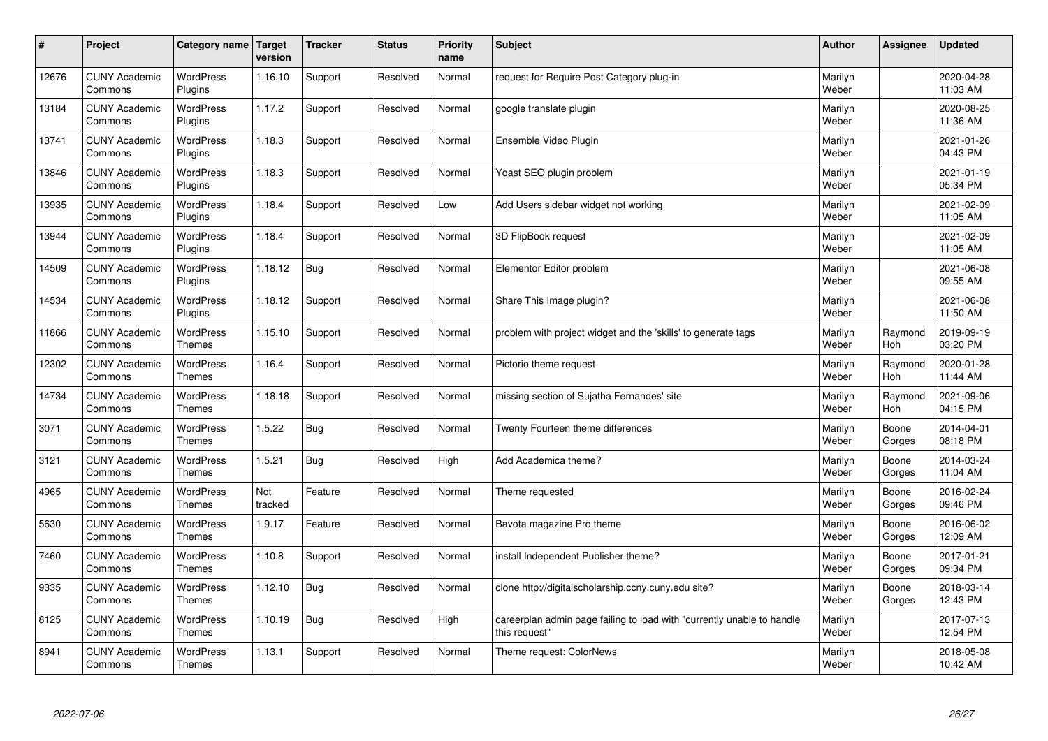| $\pmb{\#}$ | Project                         | Category name                     | Target<br>version | <b>Tracker</b> | <b>Status</b> | <b>Priority</b><br>name | <b>Subject</b>                                                                          | <b>Author</b>    | Assignee        | <b>Updated</b>         |
|------------|---------------------------------|-----------------------------------|-------------------|----------------|---------------|-------------------------|-----------------------------------------------------------------------------------------|------------------|-----------------|------------------------|
| 12676      | <b>CUNY Academic</b><br>Commons | <b>WordPress</b><br>Plugins       | 1.16.10           | Support        | Resolved      | Normal                  | request for Require Post Category plug-in                                               | Marilyn<br>Weber |                 | 2020-04-28<br>11:03 AM |
| 13184      | <b>CUNY Academic</b><br>Commons | <b>WordPress</b><br>Plugins       | 1.17.2            | Support        | Resolved      | Normal                  | google translate plugin                                                                 | Marilyn<br>Weber |                 | 2020-08-25<br>11:36 AM |
| 13741      | <b>CUNY Academic</b><br>Commons | <b>WordPress</b><br>Plugins       | 1.18.3            | Support        | Resolved      | Normal                  | Ensemble Video Plugin                                                                   | Marilyn<br>Weber |                 | 2021-01-26<br>04:43 PM |
| 13846      | <b>CUNY Academic</b><br>Commons | <b>WordPress</b><br>Plugins       | 1.18.3            | Support        | Resolved      | Normal                  | Yoast SEO plugin problem                                                                | Marilyn<br>Weber |                 | 2021-01-19<br>05:34 PM |
| 13935      | <b>CUNY Academic</b><br>Commons | <b>WordPress</b><br>Plugins       | 1.18.4            | Support        | Resolved      | Low                     | Add Users sidebar widget not working                                                    | Marilyn<br>Weber |                 | 2021-02-09<br>11:05 AM |
| 13944      | <b>CUNY Academic</b><br>Commons | WordPress<br>Plugins              | 1.18.4            | Support        | Resolved      | Normal                  | 3D FlipBook request                                                                     | Marilyn<br>Weber |                 | 2021-02-09<br>11:05 AM |
| 14509      | <b>CUNY Academic</b><br>Commons | WordPress<br>Plugins              | 1.18.12           | <b>Bug</b>     | Resolved      | Normal                  | Elementor Editor problem                                                                | Marilyn<br>Weber |                 | 2021-06-08<br>09:55 AM |
| 14534      | <b>CUNY Academic</b><br>Commons | <b>WordPress</b><br>Plugins       | 1.18.12           | Support        | Resolved      | Normal                  | Share This Image plugin?                                                                | Marilyn<br>Weber |                 | 2021-06-08<br>11:50 AM |
| 11866      | <b>CUNY Academic</b><br>Commons | <b>WordPress</b><br><b>Themes</b> | 1.15.10           | Support        | Resolved      | Normal                  | problem with project widget and the 'skills' to generate tags                           | Marilyn<br>Weber | Raymond<br>Hoh  | 2019-09-19<br>03:20 PM |
| 12302      | <b>CUNY Academic</b><br>Commons | <b>WordPress</b><br><b>Themes</b> | 1.16.4            | Support        | Resolved      | Normal                  | Pictorio theme request                                                                  | Marilyn<br>Weber | Raymond<br>Hoh  | 2020-01-28<br>11:44 AM |
| 14734      | <b>CUNY Academic</b><br>Commons | WordPress<br>Themes               | 1.18.18           | Support        | Resolved      | Normal                  | missing section of Sujatha Fernandes' site                                              | Marilyn<br>Weber | Raymond<br>Hoh  | 2021-09-06<br>04:15 PM |
| 3071       | <b>CUNY Academic</b><br>Commons | <b>WordPress</b><br><b>Themes</b> | 1.5.22            | Bug            | Resolved      | Normal                  | Twenty Fourteen theme differences                                                       | Marilyn<br>Weber | Boone<br>Gorges | 2014-04-01<br>08:18 PM |
| 3121       | <b>CUNY Academic</b><br>Commons | <b>WordPress</b><br><b>Themes</b> | 1.5.21            | <b>Bug</b>     | Resolved      | High                    | Add Academica theme?                                                                    | Marilyn<br>Weber | Boone<br>Gorges | 2014-03-24<br>11:04 AM |
| 4965       | <b>CUNY Academic</b><br>Commons | <b>WordPress</b><br><b>Themes</b> | Not<br>tracked    | Feature        | Resolved      | Normal                  | Theme requested                                                                         | Marilyn<br>Weber | Boone<br>Gorges | 2016-02-24<br>09:46 PM |
| 5630       | <b>CUNY Academic</b><br>Commons | <b>WordPress</b><br>Themes        | 1.9.17            | Feature        | Resolved      | Normal                  | Bavota magazine Pro theme                                                               | Marilyn<br>Weber | Boone<br>Gorges | 2016-06-02<br>12:09 AM |
| 7460       | <b>CUNY Academic</b><br>Commons | <b>WordPress</b><br><b>Themes</b> | 1.10.8            | Support        | Resolved      | Normal                  | install Independent Publisher theme?                                                    | Marilyn<br>Weber | Boone<br>Gorges | 2017-01-21<br>09:34 PM |
| 9335       | <b>CUNY Academic</b><br>Commons | <b>WordPress</b><br>Themes        | 1.12.10           | <b>Bug</b>     | Resolved      | Normal                  | clone http://digitalscholarship.ccny.cuny.edu site?                                     | Marilyn<br>Weber | Boone<br>Gorges | 2018-03-14<br>12:43 PM |
| 8125       | <b>CUNY Academic</b><br>Commons | WordPress<br>Themes               | 1.10.19           | Bug            | Resolved      | High                    | careerplan admin page failing to load with "currently unable to handle<br>this request" | Marilyn<br>Weber |                 | 2017-07-13<br>12:54 PM |
| 8941       | <b>CUNY Academic</b><br>Commons | <b>WordPress</b><br><b>Themes</b> | 1.13.1            | Support        | Resolved      | Normal                  | Theme request: ColorNews                                                                | Marilyn<br>Weber |                 | 2018-05-08<br>10:42 AM |